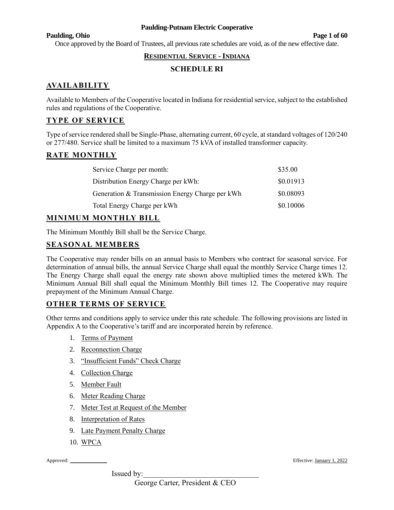#### **Paulding, Ohio Page 1 of 60**

Once approved by the Board of Trustees, all previous rate schedules are void, as of the new effective date.

# **RESIDENTIAL SERVICE -INDIANA**

# **SCHEDULE RI**

# **AVAILABILITY**

Available to Members of the Cooperative located in Indiana for residential service, subject to the established rules and regulations of the Cooperative.

# **TYPE OF SERVICE**

Type of service rendered shall be Single-Phase, alternating current, 60 cycle, at standard voltages of 120/240 or 277/480. Service shall be limited to a maximum 75 kVA of installed transformer capacity.

# **RATE MONTHLY**

| Service Charge per month:                       | \$35.00   |
|-------------------------------------------------|-----------|
| Distribution Energy Charge per kWh:             | \$0.01913 |
| Generation & Transmission Energy Charge per kWh | \$0.08093 |
| Total Energy Charge per kWh                     | \$0.10006 |

# **MINIMUM MONTHLY BILL**

The Minimum Monthly Bill shall be the Service Charge.

# **SEASONAL MEMBERS**

The Cooperative may render bills on an annual basis to Members who contract for seasonal service. For determination of annual bills, the annual Service Charge shall equal the monthly Service Charge times 12. The Energy Charge shall equal the energy rate shown above multiplied times the metered kWh. The Minimum Annual Bill shall equal the Minimum Monthly Bill times 12. The Cooperative may require prepayment of the Minimum Annual Charge.

### **OTHER TERMS OF SERVICE**

Other terms and conditions apply to service under this rate schedule. The following provisions are listed in Appendix A to the Cooperative's tariff and are incorporated herein by reference.

- 1. Terms of Payment
- 2. Reconnection Charge
- 3. "Insufficient Funds" Check Charge
- 4. Collection Charge
- 5. Member Fault
- 6. Meter Reading Charge
- 7. Meter Test at Request of the Member
- 8. Interpretation of Rates
- 9. Late Payment Penalty Charge
- 10. WPCA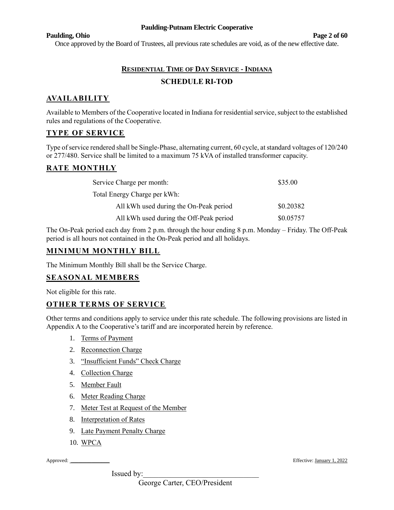#### **Paulding, Ohio Page 2 of 60**

Once approved by the Board of Trustees, all previous rate schedules are void, as of the new effective date.

# **RESIDENTIAL TIME OF DAY SERVICE - INDIANA SCHEDULE RI-TOD**

# **AVAILABILITY**

Available to Members of the Cooperative located in Indiana for residential service, subject to the established rules and regulations of the Cooperative.

# **TYPE OF SERVICE**

Type of service rendered shall be Single-Phase, alternating current, 60 cycle, at standard voltages of 120/240 or 277/480. Service shall be limited to a maximum 75 kVA of installed transformer capacity.

# **RATE MONTHLY**

| Service Charge per month:               | \$35.00   |
|-----------------------------------------|-----------|
| Total Energy Charge per kWh:            |           |
| All kWh used during the On-Peak period  | \$0.20382 |
| All kWh used during the Off-Peak period | \$0.05757 |

The On-Peak period each day from 2 p.m. through the hour ending 8 p.m. Monday – Friday. The Off-Peak period is all hours not contained in the On-Peak period and all holidays.

## **MINIMUM MONTHLY BILL**

The Minimum Monthly Bill shall be the Service Charge.

### **SEASONAL MEMBERS**

Not eligible for this rate.

# **OTHER TERMS OF SERVICE**

Other terms and conditions apply to service under this rate schedule. The following provisions are listed in Appendix A to the Cooperative's tariff and are incorporated herein by reference.

- 1. Terms of Payment
- 2. Reconnection Charge
- 3. "Insufficient Funds" Check Charge
- 4. Collection Charge
- 5. Member Fault
- 6. Meter Reading Charge
- 7. Meter Test at Request of the Member
- 8. Interpretation of Rates
- 9. Late Payment Penalty Charge
- 10. WPCA

Issued by:

Approved: \_\_\_\_\_\_\_\_\_\_\_\_\_\_\_ Effective: January 1, 2022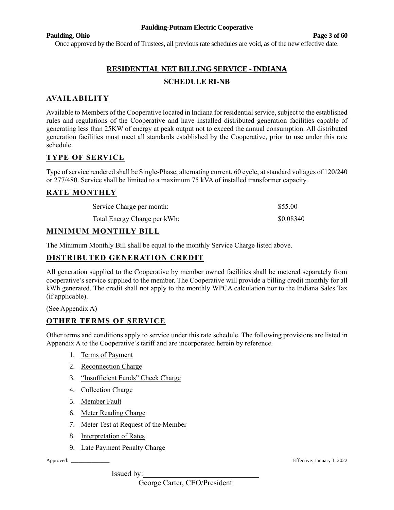#### **Paulding, Ohio Page 3 of 60**

Once approved by the Board of Trustees, all previous rate schedules are void, as of the new effective date.

# **RESIDENTIAL NET BILLING SERVICE - INDIANA SCHEDULE RI-NB**

# **AVAILABILITY**

Available to Members of the Cooperative located in Indiana for residential service, subject to the established rules and regulations of the Cooperative and have installed distributed generation facilities capable of generating less than 25KW of energy at peak output not to exceed the annual consumption. All distributed generation facilities must meet all standards established by the Cooperative, prior to use under this rate schedule.

### **TYPE OF SERVICE**

Type of service rendered shall be Single-Phase, alternating current, 60 cycle, at standard voltages of 120/240 or 277/480. Service shall be limited to a maximum 75 kVA of installed transformer capacity.

### **RATE MONTHLY**

| Service Charge per month:    | \$55.00   |
|------------------------------|-----------|
| Total Energy Charge per kWh: | \$0.08340 |

### **MINIMUM MONTHLY BILL**

The Minimum Monthly Bill shall be equal to the monthly Service Charge listed above.

# **DISTRIBUTED GENERATION CREDIT**

All generation supplied to the Cooperative by member owned facilities shall be metered separately from cooperative's service supplied to the member. The Cooperative will provide a billing credit monthly for all kWh generated. The credit shall not apply to the monthly WPCA calculation nor to the Indiana Sales Tax (if applicable).

(See Appendix A)

### **OTHER TERMS OF SERVICE**

Other terms and conditions apply to service under this rate schedule. The following provisions are listed in Appendix A to the Cooperative's tariff and are incorporated herein by reference.

- 1. Terms of Payment
- 2. Reconnection Charge
- 3. "Insufficient Funds" Check Charge
- 4. Collection Charge
- 5. Member Fault
- 6. Meter Reading Charge
- 7. Meter Test at Request of the Member
- 8. Interpretation of Rates
- 9. Late Payment Penalty Charge

Issued by:

Approved: \_\_\_\_\_\_\_\_\_\_\_\_\_\_\_ Effective: January 1, 2022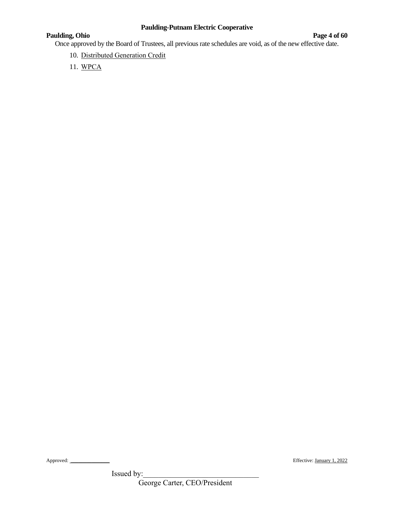# **Paulding, Ohio Page 4** of 60

Once approved by the Board of Trustees, all previous rate schedules are void, as of the new effective date.

- 10. Distributed Generation Credit
- 11. WPCA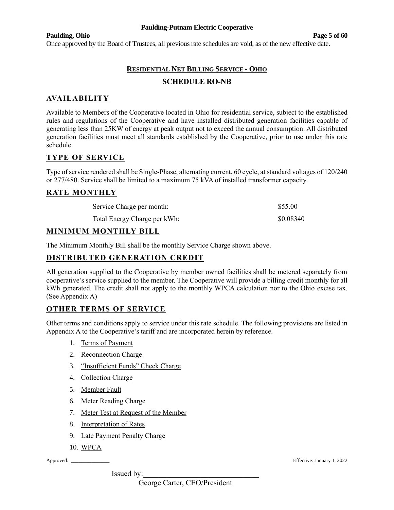#### **Paulding, Ohio Page 5 of 60**

Once approved by the Board of Trustees, all previous rate schedules are void, as of the new effective date.

# **RESIDENTIAL NET BILLING SERVICE - OHIO SCHEDULE RO-NB**

# **AVAILABILITY**

Available to Members of the Cooperative located in Ohio for residential service, subject to the established rules and regulations of the Cooperative and have installed distributed generation facilities capable of generating less than 25KW of energy at peak output not to exceed the annual consumption. All distributed generation facilities must meet all standards established by the Cooperative, prior to use under this rate schedule.

# **TYPE OF SERVICE**

Type of service rendered shall be Single-Phase, alternating current, 60 cycle, at standard voltages of 120/240 or 277/480. Service shall be limited to a maximum 75 kVA of installed transformer capacity.

### **RATE MONTHLY**

| Service Charge per month:    | \$55.00   |
|------------------------------|-----------|
| Total Energy Charge per kWh: | \$0.08340 |

# **MINIMUM MONTHLY BILL**

The Minimum Monthly Bill shall be the monthly Service Charge shown above.

# **DISTRIBUTED GENERATION CREDIT**

All generation supplied to the Cooperative by member owned facilities shall be metered separately from cooperative's service supplied to the member. The Cooperative will provide a billing credit monthly for all kWh generated. The credit shall not apply to the monthly WPCA calculation nor to the Ohio excise tax. (See Appendix A)

### **OTHER TERMS OF SERVICE**

Other terms and conditions apply to service under this rate schedule. The following provisions are listed in Appendix A to the Cooperative's tariff and are incorporated herein by reference.

- 1. Terms of Payment
- 2. Reconnection Charge
- 3. "Insufficient Funds" Check Charge
- 4. Collection Charge
- 5. Member Fault
- 6. Meter Reading Charge
- 7. Meter Test at Request of the Member
- 8. Interpretation of Rates
- 9. Late Payment Penalty Charge
- 10. WPCA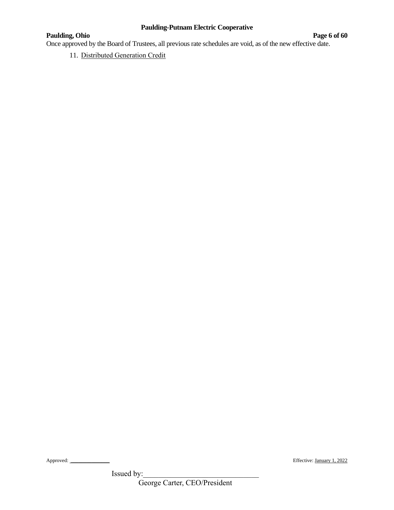# **Paulding, Ohio Page 6 of 60**

Once approved by the Board of Trustees, all previous rate schedules are void, as of the new effective date.

11. Distributed Generation Credit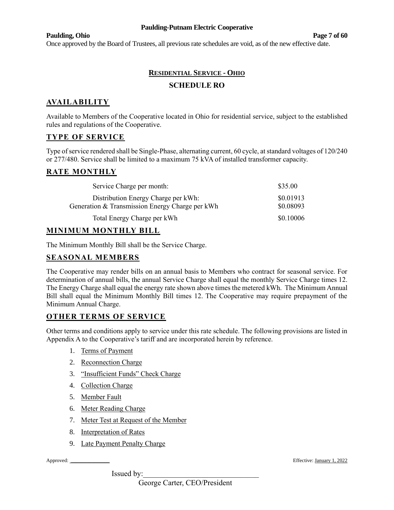#### **Paulding, Ohio Page 7 of 60**

Once approved by the Board of Trustees, all previous rate schedules are void, as of the new effective date.

# **RESIDENTIAL SERVICE - OHIO SCHEDULE RO**

# **AVAILABILITY**

Available to Members of the Cooperative located in Ohio for residential service, subject to the established rules and regulations of the Cooperative.

### **TYPE OF SERVICE**

Type of service rendered shall be Single-Phase, alternating current, 60 cycle, at standard voltages of 120/240 or 277/480. Service shall be limited to a maximum 75 kVA of installed transformer capacity.

# **RATE MONTHLY**

| Service Charge per month:                                                              | \$35.00                |
|----------------------------------------------------------------------------------------|------------------------|
| Distribution Energy Charge per kWh:<br>Generation & Transmission Energy Charge per kWh | \$0.01913<br>\$0.08093 |
| Total Energy Charge per kWh                                                            | \$0.10006              |

# **MINIMUM MONTHLY BILL**

The Minimum Monthly Bill shall be the Service Charge.

# **SEASONAL MEMBERS**

The Cooperative may render bills on an annual basis to Members who contract for seasonal service. For determination of annual bills, the annual Service Charge shall equal the monthly Service Charge times 12. The Energy Charge shall equal the energy rate shown above times the metered kWh. The Minimum Annual Bill shall equal the Minimum Monthly Bill times 12. The Cooperative may require prepayment of the Minimum Annual Charge.

# **OTHER TERMS OF SERVICE**

Other terms and conditions apply to service under this rate schedule. The following provisions are listed in Appendix A to the Cooperative's tariff and are incorporated herein by reference.

- 1. Terms of Payment
- 2. Reconnection Charge
- 3. "Insufficient Funds" Check Charge
- 4. Collection Charge
- 5. Member Fault
- 6. Meter Reading Charge
- 7. Meter Test at Request of the Member
- 8. Interpretation of Rates
- 9. Late Payment Penalty Charge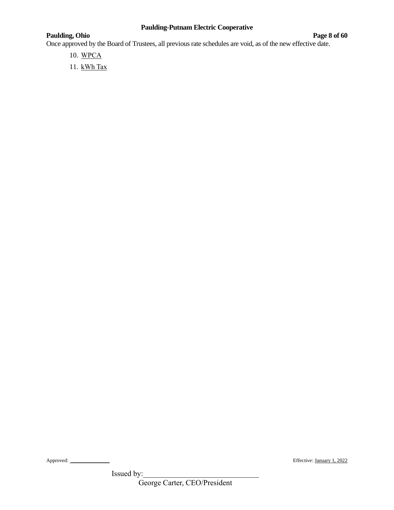# **Paulding, Ohio Page 8 of 60**

Once approved by the Board of Trustees, all previous rate schedules are void, as of the new effective date.

- 10. WPCA
- 11. kWh Tax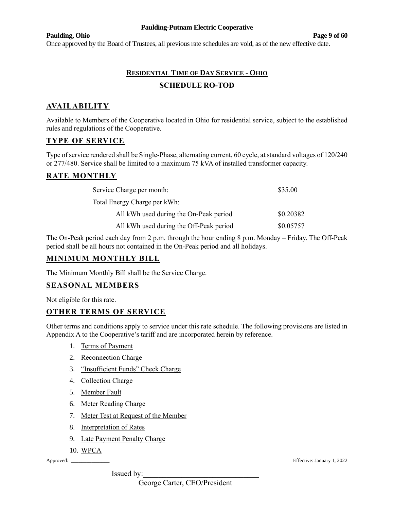#### **Paulding, Ohio Page 9 of 60**

Once approved by the Board of Trustees, all previous rate schedules are void, as of the new effective date.

# **RESIDENTIAL TIME OF DAY SERVICE - OHIO SCHEDULE RO-TOD**

# **AVAILABILITY**

Available to Members of the Cooperative located in Ohio for residential service, subject to the established rules and regulations of the Cooperative.

# **TYPE OF SERVICE**

Type of service rendered shall be Single-Phase, alternating current, 60 cycle, at standard voltages of 120/240 or 277/480. Service shall be limited to a maximum 75 kVA of installed transformer capacity.

# **RATE MONTHLY**

| Service Charge per month:               | \$35.00   |
|-----------------------------------------|-----------|
| Total Energy Charge per kWh:            |           |
| All kWh used during the On-Peak period  | \$0.20382 |
| All kWh used during the Off-Peak period | \$0.05757 |

The On-Peak period each day from 2 p.m. through the hour ending 8 p.m. Monday – Friday. The Off-Peak period shall be all hours not contained in the On-Peak period and all holidays.

### **MINIMUM MONTHLY BILL**

The Minimum Monthly Bill shall be the Service Charge.

### **SEASONAL MEMBERS**

Not eligible for this rate.

# **OTHER TERMS OF SERVICE**

Other terms and conditions apply to service under this rate schedule. The following provisions are listed in Appendix A to the Cooperative's tariff and are incorporated herein by reference.

- 1. Terms of Payment
- 2. Reconnection Charge
- 3. "Insufficient Funds" Check Charge
- 4. Collection Charge
- 5. Member Fault
- 6. Meter Reading Charge
- 7. Meter Test at Request of the Member
- 8. Interpretation of Rates
- 9. Late Payment Penalty Charge
- 10. WPCA

Issued by:

Approved: \_\_\_\_\_\_\_\_\_\_\_\_\_\_\_ Effective: January 1, 2022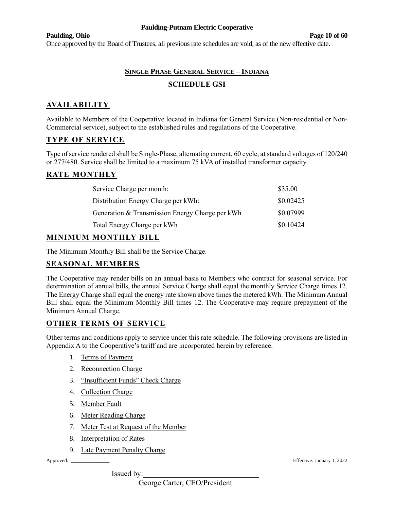#### **Paulding, Ohio Page 10 of 60**

Once approved by the Board of Trustees, all previous rate schedules are void, as of the new effective date.

# **SINGLE PHASE GENERAL SERVICE – INDIANA SCHEDULE GSI**

# **AVAILABILITY**

Available to Members of the Cooperative located in Indiana for General Service (Non-residential or Non-Commercial service), subject to the established rules and regulations of the Cooperative.

# **TYPE OF SERVICE**

Type of service rendered shall be Single-Phase, alternating current, 60 cycle, at standard voltages of 120/240 or 277/480. Service shall be limited to a maximum 75 kVA of installed transformer capacity.

### **RATE MONTHLY**

| Service Charge per month:                       | \$35.00   |
|-------------------------------------------------|-----------|
| Distribution Energy Charge per kWh:             | \$0.02425 |
| Generation & Transmission Energy Charge per kWh | \$0.07999 |
| Total Energy Charge per kWh                     | \$0.10424 |

### **MINIMUM MONTHLY BILL**

The Minimum Monthly Bill shall be the Service Charge.

### **SEASONAL MEMBERS**

The Cooperative may render bills on an annual basis to Members who contract for seasonal service. For determination of annual bills, the annual Service Charge shall equal the monthly Service Charge times 12. The Energy Charge shall equal the energy rate shown above times the metered kWh. The Minimum Annual Bill shall equal the Minimum Monthly Bill times 12. The Cooperative may require prepayment of the Minimum Annual Charge.

### **OTHER TERMS OF SERVICE**

Other terms and conditions apply to service under this rate schedule. The following provisions are listed in Appendix A to the Cooperative's tariff and are incorporated herein by reference.

- 1. Terms of Payment
- 2. Reconnection Charge
- 3. "Insufficient Funds" Check Charge
- 4. Collection Charge
- 5. Member Fault
- 6. Meter Reading Charge
- 7. Meter Test at Request of the Member
- 8. Interpretation of Rates
- 9. Late Payment Penalty Charge

Issued by:

Approved: \_\_\_\_\_\_\_\_\_\_\_\_\_\_\_ Effective: January 1, 2022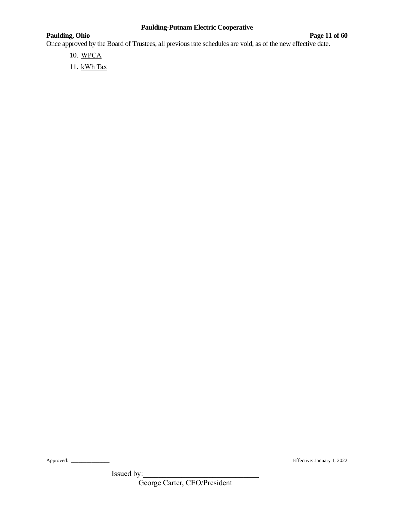# **Paulding, Ohio Page 11** of 60

Once approved by the Board of Trustees, all previous rate schedules are void, as of the new effective date.

- 10. WPCA
- 11. kWh Tax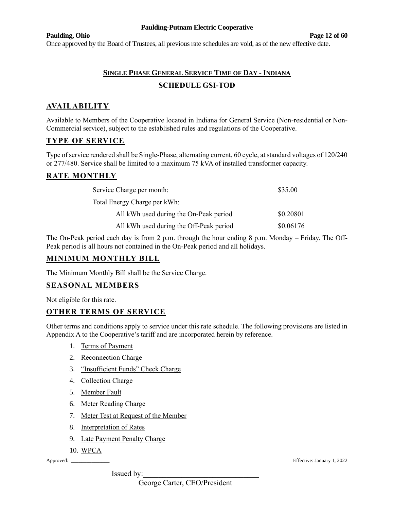#### **Paulding, Ohio Page 12 of 60**

Once approved by the Board of Trustees, all previous rate schedules are void, as of the new effective date.

# **SINGLE PHASE GENERAL SERVICE TIME OF DAY - INDIANA SCHEDULE GSI-TOD**

# **AVAILABILITY**

Available to Members of the Cooperative located in Indiana for General Service (Non-residential or Non-Commercial service), subject to the established rules and regulations of the Cooperative.

# **TYPE OF SERVICE**

Type of service rendered shall be Single-Phase, alternating current, 60 cycle, at standard voltages of 120/240 or 277/480. Service shall be limited to a maximum 75 kVA of installed transformer capacity.

# **RATE MONTHLY**

| Service Charge per month:               | \$35.00   |
|-----------------------------------------|-----------|
| Total Energy Charge per kWh:            |           |
| All kWh used during the On-Peak period  | \$0.20801 |
| All kWh used during the Off-Peak period | \$0.06176 |

The On-Peak period each day is from 2 p.m. through the hour ending 8 p.m. Monday – Friday. The Off-Peak period is all hours not contained in the On-Peak period and all holidays.

### **MINIMUM MONTHLY BILL**

The Minimum Monthly Bill shall be the Service Charge.

### **SEASONAL MEMBERS**

Not eligible for this rate.

# **OTHER TERMS OF SERVICE**

Other terms and conditions apply to service under this rate schedule. The following provisions are listed in Appendix A to the Cooperative's tariff and are incorporated herein by reference.

- 1. Terms of Payment
- 2. Reconnection Charge
- 3. "Insufficient Funds" Check Charge
- 4. Collection Charge
- 5. Member Fault
- 6. Meter Reading Charge
- 7. Meter Test at Request of the Member
- 8. Interpretation of Rates
- 9. Late Payment Penalty Charge
- 10. WPCA

Issued by:

Approved: \_\_\_\_\_\_\_\_\_\_\_\_\_\_\_ Effective: January 1, 2022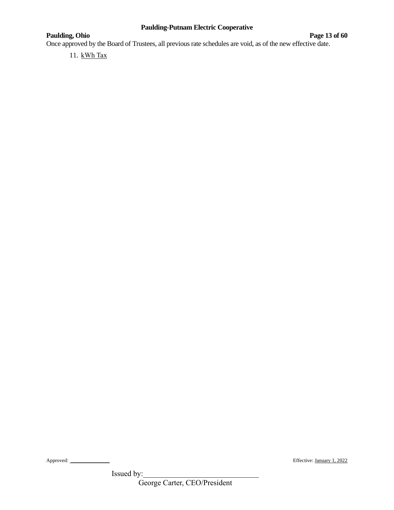# **Paulding, Ohio Page 13** of 60

Once approved by the Board of Trustees, all previous rate schedules are void, as of the new effective date.

11. kWh Tax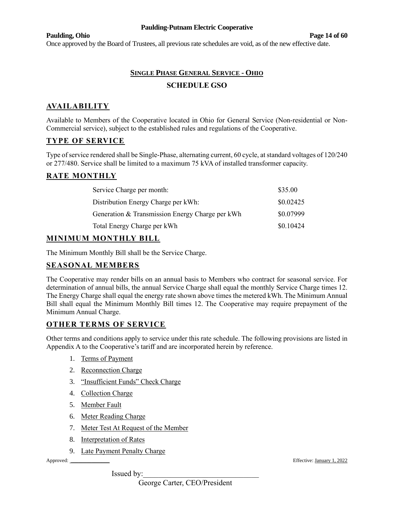#### **Paulding, Ohio Page 14 of 60**

Once approved by the Board of Trustees, all previous rate schedules are void, as of the new effective date.

# **SINGLE PHASE GENERAL SERVICE - OHIO SCHEDULE GSO**

# **AVAILABILITY**

Available to Members of the Cooperative located in Ohio for General Service (Non-residential or Non-Commercial service), subject to the established rules and regulations of the Cooperative.

# **TYPE OF SERVICE**

Type of service rendered shall be Single-Phase, alternating current, 60 cycle, at standard voltages of 120/240 or 277/480. Service shall be limited to a maximum 75 kVA of installed transformer capacity.

# **RATE MONTHLY**

| Service Charge per month:                       | \$35.00   |
|-------------------------------------------------|-----------|
| Distribution Energy Charge per kWh:             | \$0.02425 |
| Generation & Transmission Energy Charge per kWh | \$0.07999 |
| Total Energy Charge per kWh                     | \$0.10424 |

### **MINIMUM MONTHLY BILL**

The Minimum Monthly Bill shall be the Service Charge.

# **SEASONAL MEMBERS**

The Cooperative may render bills on an annual basis to Members who contract for seasonal service. For determination of annual bills, the annual Service Charge shall equal the monthly Service Charge times 12. The Energy Charge shall equal the energy rate shown above times the metered kWh. The Minimum Annual Bill shall equal the Minimum Monthly Bill times 12. The Cooperative may require prepayment of the Minimum Annual Charge.

# **OTHER TERMS OF SERVICE**

Other terms and conditions apply to service under this rate schedule. The following provisions are listed in Appendix A to the Cooperative's tariff and are incorporated herein by reference.

- 1. Terms of Payment
- 2. Reconnection Charge
- 3. "Insufficient Funds" Check Charge
- 4. Collection Charge
- 5. Member Fault
- 6. Meter Reading Charge
- 7. Meter Test At Request of the Member
- 8. Interpretation of Rates
- 9. Late Payment Penalty Charge

Issued by:

Approved: \_\_\_\_\_\_\_\_\_\_\_\_\_\_\_ Effective: January 1, 2022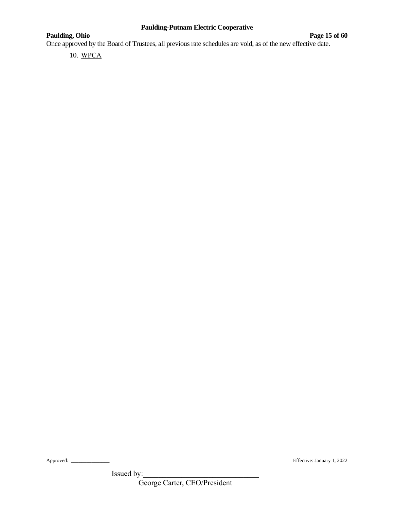# **Paulding, Ohio Page 15** of 60

Once approved by the Board of Trustees, all previous rate schedules are void, as of the new effective date.

10. WPCA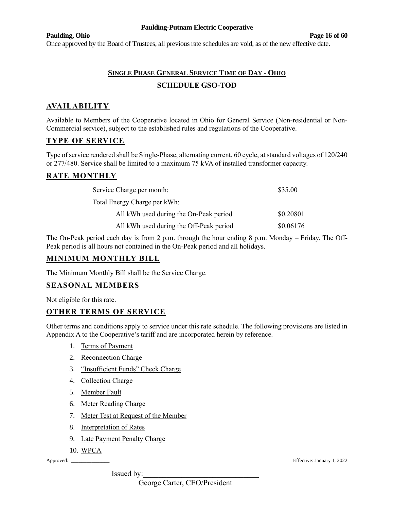#### **Paulding, Ohio Page 16 of 60**

Once approved by the Board of Trustees, all previous rate schedules are void, as of the new effective date.

# **SINGLE PHASE GENERAL SERVICE TIME OF DAY - OHIO SCHEDULE GSO-TOD**

# **AVAILABILITY**

Available to Members of the Cooperative located in Ohio for General Service (Non-residential or Non-Commercial service), subject to the established rules and regulations of the Cooperative.

# **TYPE OF SERVICE**

Type of service rendered shall be Single-Phase, alternating current, 60 cycle, at standard voltages of 120/240 or 277/480. Service shall be limited to a maximum 75 kVA of installed transformer capacity.

# **RATE MONTHLY**

| Service Charge per month:               | \$35.00   |
|-----------------------------------------|-----------|
| Total Energy Charge per kWh:            |           |
| All kWh used during the On-Peak period  | \$0.20801 |
| All kWh used during the Off-Peak period | \$0.06176 |

The On-Peak period each day is from 2 p.m. through the hour ending 8 p.m. Monday – Friday. The Off-Peak period is all hours not contained in the On-Peak period and all holidays.

### **MINIMUM MONTHLY BILL**

The Minimum Monthly Bill shall be the Service Charge.

### **SEASONAL MEMBERS**

Not eligible for this rate.

# **OTHER TERMS OF SERVICE**

Other terms and conditions apply to service under this rate schedule. The following provisions are listed in Appendix A to the Cooperative's tariff and are incorporated herein by reference.

- 1. Terms of Payment
- 2. Reconnection Charge
- 3. "Insufficient Funds" Check Charge
- 4. Collection Charge
- 5. Member Fault
- 6. Meter Reading Charge
- 7. Meter Test at Request of the Member
- 8. Interpretation of Rates
- 9. Late Payment Penalty Charge
- 10. WPCA

Issued by:

Approved: \_\_\_\_\_\_\_\_\_\_\_\_\_\_\_ Effective: January 1, 2022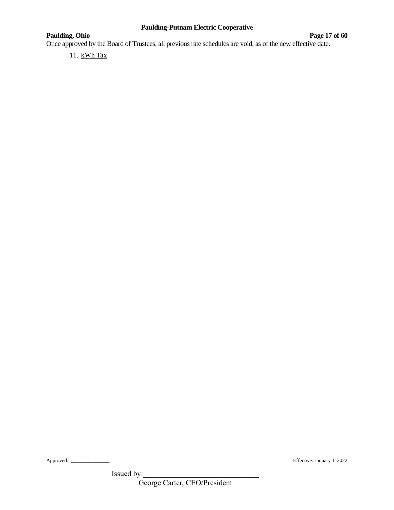# **Paulding, Ohio Page 17** of 60

Once approved by the Board of Trustees, all previous rate schedules are void, as of the new effective date.

11. kWh Tax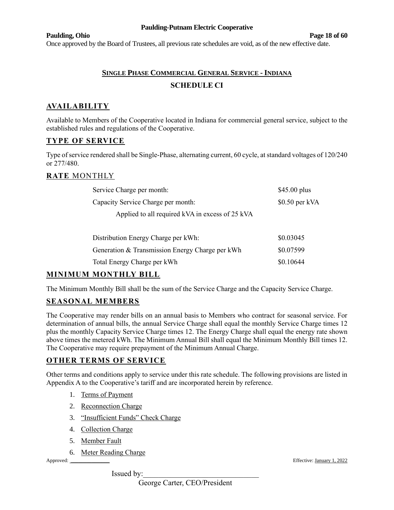#### **Paulding, Ohio Page 18 of 60**

Once approved by the Board of Trustees, all previous rate schedules are void, as of the new effective date.

# **SINGLE PHASE COMMERCIAL GENERAL SERVICE - INDIANA SCHEDULE CI**

# **AVAILABILITY**

Available to Members of the Cooperative located in Indiana for commercial general service, subject to the established rules and regulations of the Cooperative.

# **TYPE OF SERVICE**

Type of service rendered shall be Single-Phase, alternating current, 60 cycle, at standard voltages of 120/240 or 277/480.

### **RATE** MONTHLY

| Service Charge per month:                       | $$45.00$ plus   |
|-------------------------------------------------|-----------------|
| Capacity Service Charge per month:              | $$0.50$ per kVA |
| Applied to all required kVA in excess of 25 kVA |                 |
|                                                 |                 |
| Distribution Energy Charge per kWh:             | \$0.03045       |
| Generation & Transmission Energy Charge per kWh | \$0.07599       |

# **MINIMUM MONTHLY BILL**

The Minimum Monthly Bill shall be the sum of the Service Charge and the Capacity Service Charge.

Total Energy Charge per kWh  $\$0.10644$ 

# **SEASONAL MEMBERS**

The Cooperative may render bills on an annual basis to Members who contract for seasonal service. For determination of annual bills, the annual Service Charge shall equal the monthly Service Charge times 12 plus the monthly Capacity Service Charge times 12. The Energy Charge shall equal the energy rate shown above times the metered kWh. The Minimum Annual Bill shall equal the Minimum Monthly Bill times 12. The Cooperative may require prepayment of the Minimum Annual Charge.

### **OTHER TERMS OF SERVICE**

Other terms and conditions apply to service under this rate schedule. The following provisions are listed in Appendix A to the Cooperative's tariff and are incorporated herein by reference.

- 1. Terms of Payment
- 2. Reconnection Charge
- 3. "Insufficient Funds" Check Charge
- 4. Collection Charge
- 5. Member Fault
- 6. Meter Reading Charge

Issued by:

Approved: \_\_\_\_\_\_\_\_\_\_\_\_\_\_\_ Effective: January 1, 2022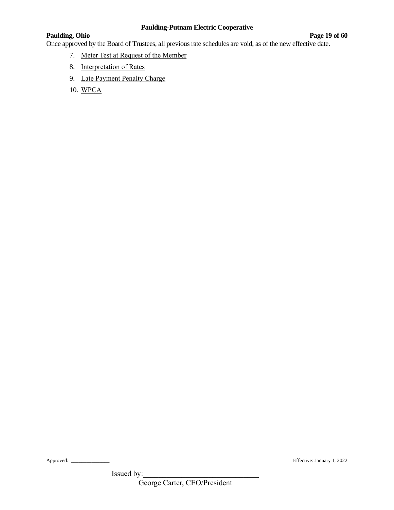## **Paulding, Ohio Page 19 of 60**

Once approved by the Board of Trustees, all previous rate schedules are void, as of the new effective date.

- 7. Meter Test at Request of the Member
- 8. Interpretation of Rates
- 9. Late Payment Penalty Charge
- 10. WPCA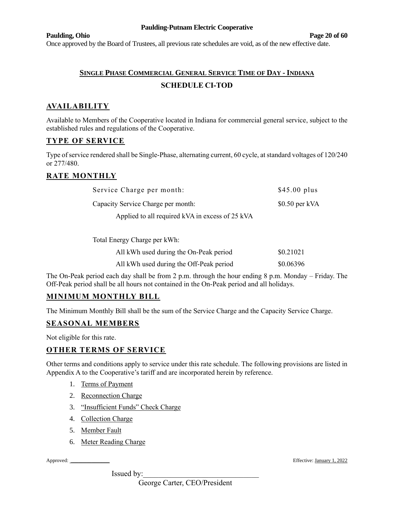#### **Paulding, Ohio Page 20 of 60**

Once approved by the Board of Trustees, all previous rate schedules are void, as of the new effective date.

# **SINGLE PHASE COMMERCIAL GENERAL SERVICE TIME OF DAY - INDIANA SCHEDULE CI-TOD**

# **AVAILABILITY**

Available to Members of the Cooperative located in Indiana for commercial general service, subject to the established rules and regulations of the Cooperative.

### **TYPE OF SERVICE**

Type of service rendered shall be Single-Phase, alternating current, 60 cycle, at standard voltages of 120/240 or 277/480.

# **RATE MONTHLY**

| Service Charge per month:                       | $$45.00$ plus   |
|-------------------------------------------------|-----------------|
| Capacity Service Charge per month:              | $$0.50$ per kVA |
| Applied to all required kVA in excess of 25 kVA |                 |

Total Energy Charge per kWh:

| All kWh used during the On-Peak period  | \$0.21021 |
|-----------------------------------------|-----------|
| All kWh used during the Off-Peak period | \$0.06396 |

The On-Peak period each day shall be from 2 p.m. through the hour ending 8 p.m. Monday – Friday. The Off-Peak period shall be all hours not contained in the On-Peak period and all holidays.

### **MINIMUM MONTHLY BILL**

The Minimum Monthly Bill shall be the sum of the Service Charge and the Capacity Service Charge.

### **SEASONAL MEMBERS**

Not eligible for this rate.

### **OTHER TERMS OF SERVICE**

Other terms and conditions apply to service under this rate schedule. The following provisions are listed in Appendix A to the Cooperative's tariff and are incorporated herein by reference.

- 1. Terms of Payment
- 2. Reconnection Charge
- 3. "Insufficient Funds" Check Charge
- 4. Collection Charge
- 5. Member Fault
- 6. Meter Reading Charge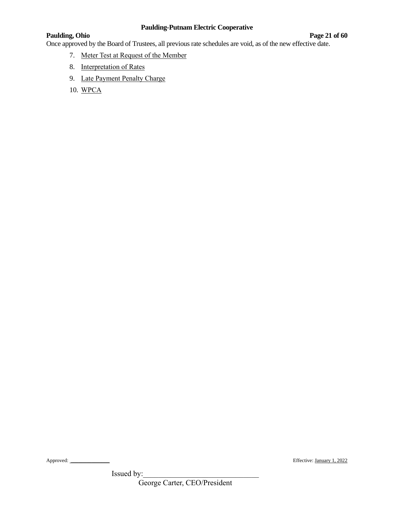## **Paulding, Ohio Page 21 of 60**

Once approved by the Board of Trustees, all previous rate schedules are void, as of the new effective date.

- 7. Meter Test at Request of the Member
- 8. Interpretation of Rates
- 9. Late Payment Penalty Charge
- 10. WPCA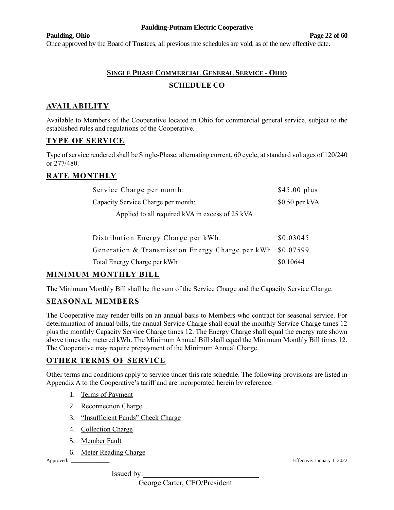#### **Paulding, Ohio Page 22 of 60**

Once approved by the Board of Trustees, all previous rate schedules are void, as of the new effective date.

# **SINGLE PHASE COMMERCIAL GENERAL SERVICE - OHIO SCHEDULE CO**

# **AVAILABILITY**

Available to Members of the Cooperative located in Ohio for commercial general service, subject to the established rules and regulations of the Cooperative.

# **TYPE OF SERVICE**

Type of service rendered shall be Single-Phase, alternating current, 60 cycle, at standard voltages of 120/240 or 277/480.

# **RATE MONTHLY**

| Service Charge per month:                       | $$45.00$ plus   |
|-------------------------------------------------|-----------------|
| Capacity Service Charge per month:              | $$0.50$ per kVA |
| Applied to all required kVA in excess of 25 kVA |                 |
|                                                 |                 |

| Distribution Energy Charge per kWh:                       | \$0.03045 |
|-----------------------------------------------------------|-----------|
| Generation & Transmission Energy Charge per kWh \$0.07599 |           |
| Total Energy Charge per kWh                               | \$0.10644 |

# **MINIMUM MONTHLY BILL**

The Minimum Monthly Bill shall be the sum of the Service Charge and the Capacity Service Charge.

# **SEASONAL MEMBERS**

The Cooperative may render bills on an annual basis to Members who contract for seasonal service. For determination of annual bills, the annual Service Charge shall equal the monthly Service Charge times 12 plus the monthly Capacity Service Charge times 12. The Energy Charge shall equal the energy rate shown above times the metered kWh. The Minimum Annual Bill shall equal the Minimum Monthly Bill times 12. The Cooperative may require prepayment of the Minimum Annual Charge.

# **OTHER TERMS OF SERVICE**

Other terms and conditions apply to service under this rate schedule. The following provisions are listed in Appendix A to the Cooperative's tariff and are incorporated herein by reference.

- 1. Terms of Payment
- 2. Reconnection Charge
- 3. "Insufficient Funds" Check Charge
- 4. Collection Charge
- 5. Member Fault
- 6. Meter Reading Charge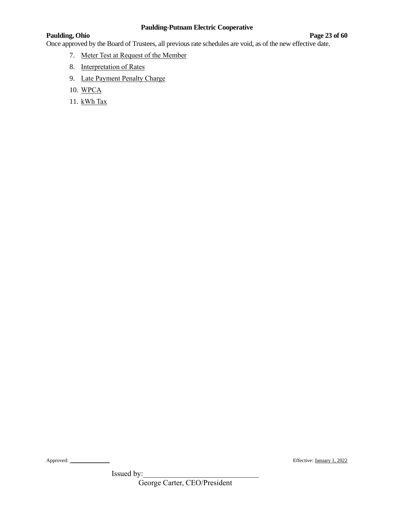## **Paulding, Ohio Page 23 of 60**

Once approved by the Board of Trustees, all previous rate schedules are void, as of the new effective date.

- 7. Meter Test at Request of the Member
- 8. Interpretation of Rates
- 9. Late Payment Penalty Charge
- 10. WPCA
- 11. kWh Tax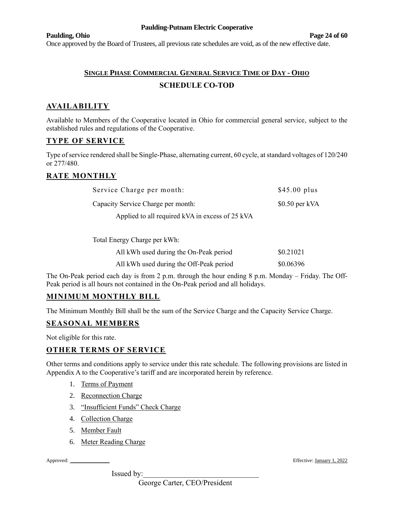#### **Paulding, Ohio Page 24 of 60**

Once approved by the Board of Trustees, all previous rate schedules are void, as of the new effective date.

# **SINGLE PHASE COMMERCIAL GENERAL SERVICE TIME OF DAY - OHIO SCHEDULE CO-TOD**

# **AVAILABILITY**

Available to Members of the Cooperative located in Ohio for commercial general service, subject to the established rules and regulations of the Cooperative.

### **TYPE OF SERVICE**

Type of service rendered shall be Single-Phase, alternating current, 60 cycle, at standard voltages of 120/240 or 277/480.

# **RATE MONTHLY**

| Service Charge per month:                       | $$45.00$ plus   |
|-------------------------------------------------|-----------------|
| Capacity Service Charge per month:              | $$0.50$ per kVA |
| Applied to all required kVA in excess of 25 kVA |                 |

Total Energy Charge per kWh:

| All kWh used during the On-Peak period  | \$0.21021 |
|-----------------------------------------|-----------|
| All kWh used during the Off-Peak period | \$0.06396 |

The On-Peak period each day is from 2 p.m. through the hour ending 8 p.m. Monday – Friday. The Off-Peak period is all hours not contained in the On-Peak period and all holidays.

### **MINIMUM MONTHLY BILL**

The Minimum Monthly Bill shall be the sum of the Service Charge and the Capacity Service Charge.

### **SEASONAL MEMBERS**

Not eligible for this rate.

### **OTHER TERMS OF SERVICE**

Other terms and conditions apply to service under this rate schedule. The following provisions are listed in Appendix A to the Cooperative's tariff and are incorporated herein by reference.

- 1. Terms of Payment
- 2. Reconnection Charge
- 3. "Insufficient Funds" Check Charge
- 4. Collection Charge
- 5. Member Fault
- 6. Meter Reading Charge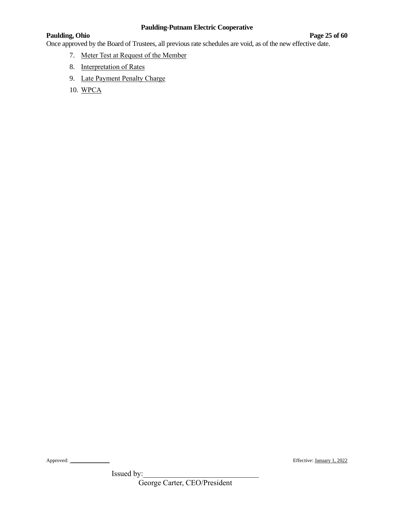## **Paulding, Ohio Page 25 of 60**

Once approved by the Board of Trustees, all previous rate schedules are void, as of the new effective date.

- 7. Meter Test at Request of the Member
- 8. Interpretation of Rates
- 9. Late Payment Penalty Charge
- 10. WPCA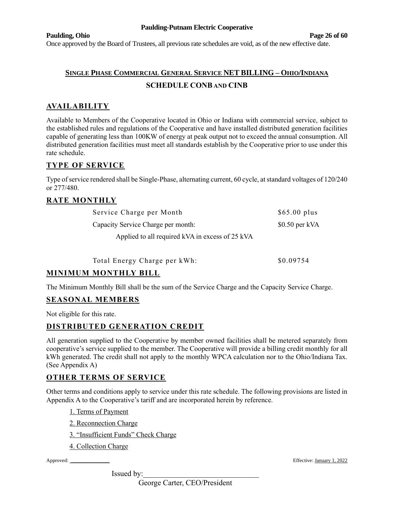#### **Paulding, Ohio Page 26 of 60**

Once approved by the Board of Trustees, all previous rate schedules are void, as of the new effective date.

# **SINGLE PHASE COMMERCIAL GENERAL SERVICE NET BILLING – OHIO/INDIANA SCHEDULE CONB AND CINB**

# **AVAILABILITY**

Available to Members of the Cooperative located in Ohio or Indiana with commercial service, subject to the established rules and regulations of the Cooperative and have installed distributed generation facilities capable of generating less than 100KW of energy at peak output not to exceed the annual consumption. All distributed generation facilities must meet all standards establish by the Cooperative prior to use under this rate schedule.

# **TYPE OF SERVICE**

Type of service rendered shall be Single-Phase, alternating current, 60 cycle, at standard voltages of 120/240 or 277/480.

### **RATE MONTHLY**

| Service Charge per Month                        | $$65.00$ plus   |
|-------------------------------------------------|-----------------|
| Capacity Service Charge per month:              | $$0.50$ per kVA |
| Applied to all required kVA in excess of 25 kVA |                 |

| Total Energy Charge per kWh: | \$0.09754 |
|------------------------------|-----------|
|------------------------------|-----------|

# **MINIMUM MONTHLY BILL**

The Minimum Monthly Bill shall be the sum of the Service Charge and the Capacity Service Charge.

### **SEASONAL MEMBERS**

Not eligible for this rate.

### **DISTRIBUTED GENERATION CREDIT**

All generation supplied to the Cooperative by member owned facilities shall be metered separately from cooperative's service supplied to the member. The Cooperative will provide a billing credit monthly for all kWh generated. The credit shall not apply to the monthly WPCA calculation nor to the Ohio/Indiana Tax. (See Appendix A)

### **OTHER TERMS OF SERVICE**

Other terms and conditions apply to service under this rate schedule. The following provisions are listed in Appendix A to the Cooperative's tariff and are incorporated herein by reference.

- 1. Terms of Payment
- 2. Reconnection Charge
- 3. "Insufficient Funds" Check Charge
- 4. Collection Charge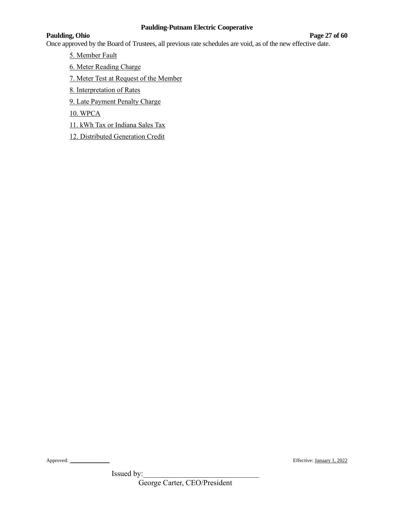#### **Paulding, Ohio Page 27 of 60**

Once approved by the Board of Trustees, all previous rate schedules are void, as of the new effective date.

5. Member Fault

6. Meter Reading Charge

7. Meter Test at Request of the Member

8. Interpretation of Rates

9. Late Payment Penalty Charge

10. WPCA

11. kWh Tax or Indiana Sales Tax

12. Distributed Generation Credit

Issued by:

Approved: \_\_\_\_\_\_\_\_\_\_\_\_\_\_\_ Effective: January 1, 2022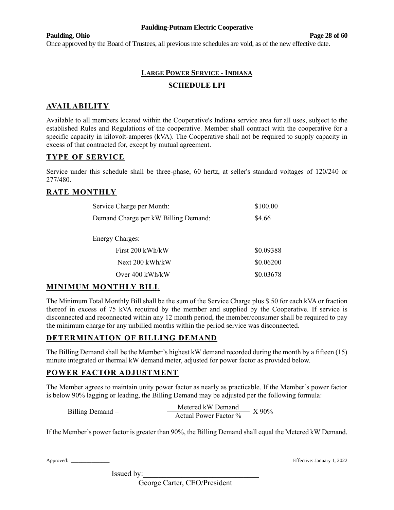#### **Paulding, Ohio Page 28 of 60**

Once approved by the Board of Trustees, all previous rate schedules are void, as of the new effective date.

# **LARGE POWER SERVICE - INDIANA SCHEDULE LPI**

# **AVAILABILITY**

Available to all members located within the Cooperative's Indiana service area for all uses, subject to the established Rules and Regulations of the cooperative. Member shall contract with the cooperative for a specific capacity in kilovolt-amperes (kVA). The Cooperative shall not be required to supply capacity in excess of that contracted for, except by mutual agreement.

# **TYPE OF SERVICE**

Service under this schedule shall be three-phase, 60 hertz, at seller's standard voltages of 120/240 or 277/480.

# **RATE MONTHLY**

| Service Charge per Month:            | \$100.00  |
|--------------------------------------|-----------|
| Demand Charge per kW Billing Demand: | \$4.66    |
| <b>Energy Charges:</b>               |           |
| First 200 kWh/kW                     | \$0.09388 |
| Next 200 kWh/kW                      | \$0.06200 |
| Over $400 \text{ kWh/kW}$            | \$0.03678 |

### **MINIMUM MONTHLY BILL**

The Minimum Total Monthly Bill shall be the sum of the Service Charge plus \$.50 for each kVA or fraction thereof in excess of 75 kVA required by the member and supplied by the Cooperative. If service is disconnected and reconnected within any 12 month period, the member/consumer shall be required to pay the minimum charge for any unbilled months within the period service was disconnected.

# **DETERMINATION OF BILLING DEMAND**

The Billing Demand shall be the Member's highest kW demand recorded during the month by a fifteen (15) minute integrated or thermal kW demand meter, adjusted for power factor as provided below.

### **POWER FACTOR ADJUSTMENT**

The Member agrees to maintain unity power factor as nearly as practicable. If the Member's power factor is below 90% lagging or leading, the Billing Demand may be adjusted per the following formula:

|                    | Metered kW Demand     | $X90\%$ |
|--------------------|-----------------------|---------|
| Billing Demand $=$ | Actual Power Factor % |         |

If the Member's power factor is greater than 90%, the Billing Demand shall equal the Metered kW Demand.

Approved: \_\_\_\_\_\_\_\_\_\_\_\_\_\_\_ Effective: January 1, 2022

Issued by:

George Carter, CEO/President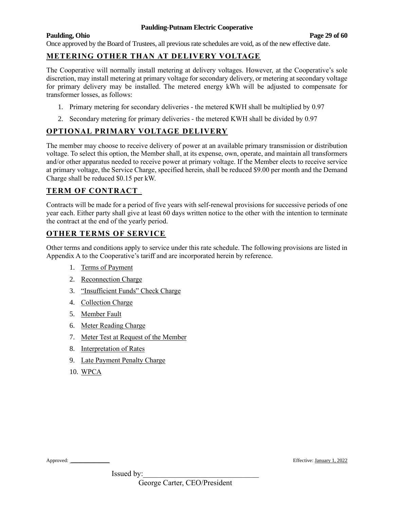# **Paulding, Ohio Page 29 of 60**

Once approved by the Board of Trustees, all previous rate schedules are void, as of the new effective date.

# **METERING OTHER THAN AT DELIVERY VOLTAGE**

The Cooperative will normally install metering at delivery voltages. However, at the Cooperative's sole discretion, may install metering at primary voltage for secondary delivery, or metering at secondary voltage for primary delivery may be installed. The metered energy kWh will be adjusted to compensate for transformer losses, as follows:

- 1. Primary metering for secondary deliveries the metered KWH shall be multiplied by 0.97
- 2. Secondary metering for primary deliveries the metered KWH shall be divided by 0.97

# **OPTIONAL PRIMARY VOLTAGE DELIVERY**

The member may choose to receive delivery of power at an available primary transmission or distribution voltage. To select this option, the Member shall, at its expense, own, operate, and maintain all transformers and/or other apparatus needed to receive power at primary voltage. If the Member elects to receive service at primary voltage, the Service Charge, specified herein, shall be reduced \$9.00 per month and the Demand Charge shall be reduced \$0.15 per kW.

# **TERM OF CONTRACT <sup>1</sup>**

Contracts will be made for a period of five years with self-renewal provisions for successive periods of one year each. Either party shall give at least 60 days written notice to the other with the intention to terminate the contract at the end of the yearly period.

# **OTHER TERMS OF SERVICE**

Other terms and conditions apply to service under this rate schedule. The following provisions are listed in Appendix A to the Cooperative's tariff and are incorporated herein by reference.

- 1. Terms of Payment
- 2. Reconnection Charge
- 3. "Insufficient Funds" Check Charge
- 4. Collection Charge
- 5. Member Fault
- 6. Meter Reading Charge
- 7. Meter Test at Request of the Member
- 8. Interpretation of Rates
- 9. Late Payment Penalty Charge
- 10. WPCA

Approved: \_\_\_\_\_\_\_\_\_\_\_\_\_\_\_ Effective: January 1, 2022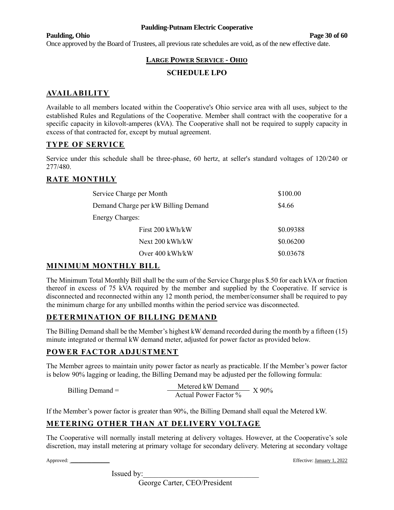#### **Paulding, Ohio Page 30 of 60**

Once approved by the Board of Trustees, all previous rate schedules are void, as of the new effective date.

# **LARGE POWER SERVICE - OHIO**

### **SCHEDULE LPO**

# **AVAILABILITY**

Available to all members located within the Cooperative's Ohio service area with all uses, subject to the established Rules and Regulations of the Cooperative. Member shall contract with the cooperative for a specific capacity in kilovolt-amperes (kVA). The Cooperative shall not be required to supply capacity in excess of that contracted for, except by mutual agreement.

# **TYPE OF SERVICE**

Service under this schedule shall be three-phase, 60 hertz, at seller's standard voltages of 120/240 or 277/480.

# **RATE MONTHLY**

| Service Charge per Month            | \$100.00  |
|-------------------------------------|-----------|
| Demand Charge per kW Billing Demand | \$4.66    |
| <b>Energy Charges:</b>              |           |
| First 200 kWh/kW                    | \$0.09388 |
| Next 200 kWh/kW                     | \$0.06200 |
| Over 400 kWh/kW                     | \$0.03678 |

### **MINIMUM MONTHLY BILL**

The Minimum Total Monthly Bill shall be the sum of the Service Charge plus \$.50 for each kVA or fraction thereof in excess of 75 kVA required by the member and supplied by the Cooperative. If service is disconnected and reconnected within any 12 month period, the member/consumer shall be required to pay the minimum charge for any unbilled months within the period service was disconnected.

### **DETERMINATION OF BILLING DEMAND**

The Billing Demand shall be the Member's highest kW demand recorded during the month by a fifteen (15) minute integrated or thermal kW demand meter, adjusted for power factor as provided below.

### **POWER FACTOR ADJUSTMENT**

The Member agrees to maintain unity power factor as nearly as practicable. If the Member's power factor is below 90% lagging or leading, the Billing Demand may be adjusted per the following formula:

Billing Demand =  $\frac{\text{Metered kW Demand}}{\text{Actual Power Factor }\%}$  X 90%

If the Member's power factor is greater than 90%, the Billing Demand shall equal the Metered kW.

# **METERING OTHER THAN AT DELIVERY VOLTAGE**

The Cooperative will normally install metering at delivery voltages. However, at the Cooperative's sole discretion, may install metering at primary voltage for secondary delivery. Metering at secondary voltage

Issued by:

Approved: \_\_\_\_\_\_\_\_\_\_\_\_\_\_\_ Effective: January 1, 2022

George Carter, CEO/President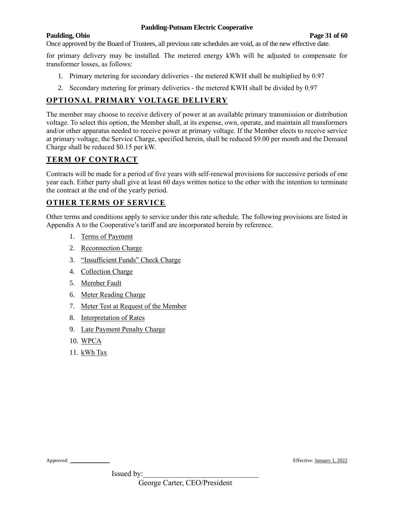#### **Paulding, Ohio Page 31 of 60**

Once approved by the Board of Trustees, all previous rate schedules are void, as of the new effective date.

for primary delivery may be installed. The metered energy kWh will be adjusted to compensate for transformer losses, as follows:

- 1. Primary metering for secondary deliveries the metered KWH shall be multiplied by 0.97
- 2. Secondary metering for primary deliveries the metered KWH shall be divided by 0.97

# **OPTIONAL PRIMARY VOLTAGE DELIVERY**

The member may choose to receive delivery of power at an available primary transmission or distribution voltage. To select this option, the Member shall, at its expense, own, operate, and maintain all transformers and/or other apparatus needed to receive power at primary voltage. If the Member elects to receive service at primary voltage, the Service Charge, specified herein, shall be reduced \$9.00 per month and the Demand Charge shall be reduced \$0.15 per kW.

# **TERM OF CONTRACT**

Contracts will be made for a period of five years with self-renewal provisions for successive periods of one year each. Either party shall give at least 60 days written notice to the other with the intention to terminate the contract at the end of the yearly period.

# **OTHER TERMS OF SERVICE**

Other terms and conditions apply to service under this rate schedule. The following provisions are listed in Appendix A to the Cooperative's tariff and are incorporated herein by reference.

- 1. Terms of Payment
- 2. Reconnection Charge
- 3. "Insufficient Funds" Check Charge
- 4. Collection Charge
- 5. Member Fault
- 6. Meter Reading Charge
- 7. Meter Test at Request of the Member
- 8. Interpretation of Rates
- 9. Late Payment Penalty Charge
- 10. WPCA
- 11. kWh Tax

Approved: \_\_\_\_\_\_\_\_\_\_\_\_\_\_\_ Effective: January 1, 2022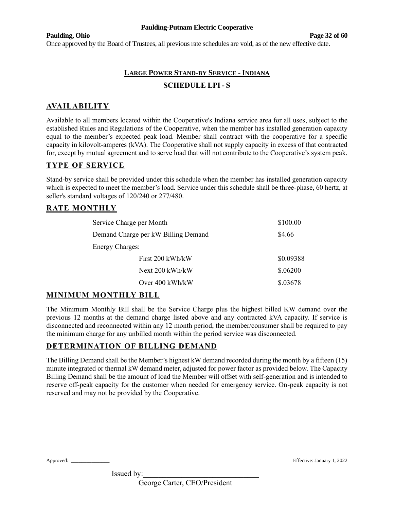#### **Paulding, Ohio Page 32 of 60**

Once approved by the Board of Trustees, all previous rate schedules are void, as of the new effective date.

# **LARGE POWER STAND-BY SERVICE - INDIANA SCHEDULE LPI- S**

# **AVAILABILITY**

Available to all members located within the Cooperative's Indiana service area for all uses, subject to the established Rules and Regulations of the Cooperative, when the member has installed generation capacity equal to the member's expected peak load. Member shall contract with the cooperative for a specific capacity in kilovolt-amperes (kVA). The Cooperative shall not supply capacity in excess of that contracted for, except by mutual agreement and to serve load that will not contribute to the Cooperative's system peak.

# **TYPE OF SERVICE**

Stand-by service shall be provided under this schedule when the member has installed generation capacity which is expected to meet the member's load. Service under this schedule shall be three-phase, 60 hertz, at seller's standard voltages of 120/240 or 277/480.

### **RATE MONTHLY**

| Service Charge per Month            | \$100.00  |
|-------------------------------------|-----------|
| Demand Charge per kW Billing Demand | \$4.66    |
| <b>Energy Charges:</b>              |           |
| First 200 kWh/kW                    | \$0.09388 |
| Next 200 kWh/kW                     | \$.06200  |
| Over 400 kWh/kW                     | \$.03678  |

### **MINIMUM MONTHLY BILL**

The Minimum Monthly Bill shall be the Service Charge plus the highest billed KW demand over the previous 12 months at the demand charge listed above and any contracted kVA capacity. If service is disconnected and reconnected within any 12 month period, the member/consumer shall be required to pay the minimum charge for any unbilled month within the period service was disconnected.

### **DETERMINATION OF BILLING DEMAND**

The Billing Demand shall be the Member's highest kW demand recorded during the month by a fifteen (15) minute integrated or thermal kW demand meter, adjusted for power factor as provided below. The Capacity Billing Demand shall be the amount of load the Member will offset with self-generation and is intended to reserve off-peak capacity for the customer when needed for emergency service. On-peak capacity is not reserved and may not be provided by the Cooperative.

Approved: \_\_\_\_\_\_\_\_\_\_\_\_\_\_\_ Effective: January 1, 2022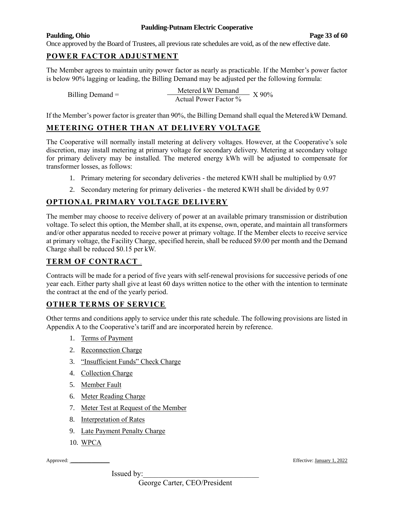#### **Paulding, Ohio Page 33 of 60**

Once approved by the Board of Trustees, all previous rate schedules are void, as of the new effective date.

# **POWER FACTOR ADJUSTMENT**

The Member agrees to maintain unity power factor as nearly as practicable. If the Member's power factor is below 90% lagging or leading, the Billing Demand may be adjusted per the following formula:

|                    | Metered kW Demand     | X 90% |
|--------------------|-----------------------|-------|
| Billing Demand $=$ | Actual Power Factor % |       |

If the Member's power factor is greater than 90%, the Billing Demand shall equal the Metered kW Demand.

## **METERING OTHER THAN AT DELIVERY VOLTAGE**

The Cooperative will normally install metering at delivery voltages. However, at the Cooperative's sole discretion, may install metering at primary voltage for secondary delivery. Metering at secondary voltage for primary delivery may be installed. The metered energy kWh will be adjusted to compensate for transformer losses, as follows:

- 1. Primary metering for secondary deliveries the metered KWH shall be multiplied by 0.97
- 2. Secondary metering for primary deliveries the metered KWH shall be divided by 0.97

# **OPTIONAL PRIMARY VOLTAGE DELIVERY**

The member may choose to receive delivery of power at an available primary transmission or distribution voltage. To select this option, the Member shall, at its expense, own, operate, and maintain all transformers and/or other apparatus needed to receive power at primary voltage. If the Member elects to receive service at primary voltage, the Facility Charge, specified herein, shall be reduced \$9.00 per month and the Demand Charge shall be reduced \$0.15 per kW.

### **TERM OF CONTRACT <sup>1</sup>**

Contracts will be made for a period of five years with self-renewal provisions for successive periods of one year each. Either party shall give at least 60 days written notice to the other with the intention to terminate the contract at the end of the yearly period.

### **OTHER TERMS OF SERVICE**

Other terms and conditions apply to service under this rate schedule. The following provisions are listed in Appendix A to the Cooperative's tariff and are incorporated herein by reference.

- 1. Terms of Payment
- 2. Reconnection Charge
- 3. "Insufficient Funds" Check Charge
- 4. Collection Charge
- 5. Member Fault
- 6. Meter Reading Charge
- 7. Meter Test at Request of the Member
- 8. Interpretation of Rates
- 9. Late Payment Penalty Charge
- 10. WPCA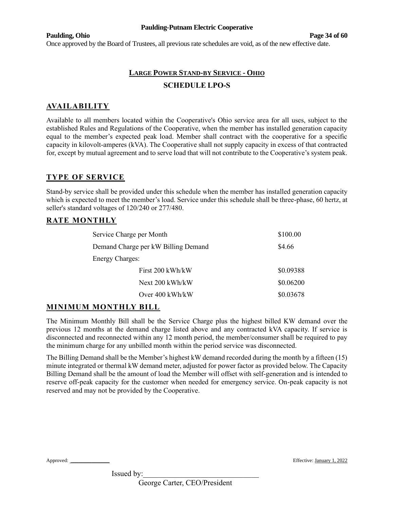#### **Paulding, Ohio Page 34 of 60**

Once approved by the Board of Trustees, all previous rate schedules are void, as of the new effective date.

# **LARGE POWER STAND-BY SERVICE - OHIO SCHEDULE LPO-S**

# **AVAILABILITY**

Available to all members located within the Cooperative's Ohio service area for all uses, subject to the established Rules and Regulations of the Cooperative, when the member has installed generation capacity equal to the member's expected peak load. Member shall contract with the cooperative for a specific capacity in kilovolt-amperes (kVA). The Cooperative shall not supply capacity in excess of that contracted for, except by mutual agreement and to serve load that will not contribute to the Cooperative's system peak.

# **TYPE OF SERVICE**

Stand-by service shall be provided under this schedule when the member has installed generation capacity which is expected to meet the member's load. Service under this schedule shall be three-phase, 60 hertz, at seller's standard voltages of 120/240 or 277/480.

# **RATE MONTHLY**

| Service Charge per Month            | \$100.00  |
|-------------------------------------|-----------|
| Demand Charge per kW Billing Demand | \$4.66    |
| <b>Energy Charges:</b>              |           |
| First 200 kWh/kW                    | \$0.09388 |
| Next 200 kWh/kW                     | \$0.06200 |
| Over $400 \text{ kWh/kW}$           | \$0.03678 |

### **MINIMUM MONTHLY BILL**

The Minimum Monthly Bill shall be the Service Charge plus the highest billed KW demand over the previous 12 months at the demand charge listed above and any contracted kVA capacity. If service is disconnected and reconnected within any 12 month period, the member/consumer shall be required to pay the minimum charge for any unbilled month within the period service was disconnected.

The Billing Demand shall be the Member's highest kW demand recorded during the month by a fifteen (15) minute integrated or thermal kW demand meter, adjusted for power factor as provided below. The Capacity Billing Demand shall be the amount of load the Member will offset with self-generation and is intended to reserve off-peak capacity for the customer when needed for emergency service. On-peak capacity is not reserved and may not be provided by the Cooperative.

Approved: \_\_\_\_\_\_\_\_\_\_\_\_\_\_\_ Effective: January 1, 2022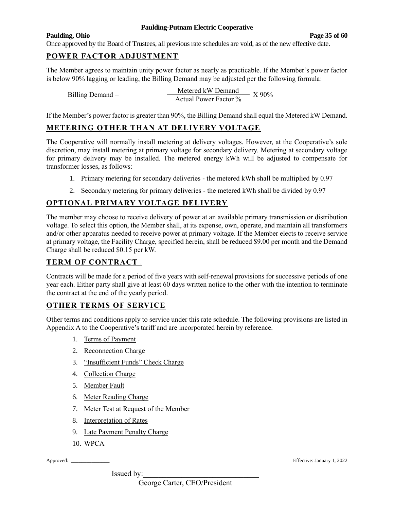#### **Paulding, Ohio Page 35 of 60**

Once approved by the Board of Trustees, all previous rate schedules are void, as of the new effective date.

# **POWER FACTOR ADJUSTMENT**

The Member agrees to maintain unity power factor as nearly as practicable. If the Member's power factor is below 90% lagging or leading, the Billing Demand may be adjusted per the following formula:

|                    | Metered kW Demand     |       |
|--------------------|-----------------------|-------|
| Billing Demand $=$ | Actual Power Factor % | X 90% |

If the Member's power factor is greater than 90%, the Billing Demand shall equal the Metered kW Demand.

## **METERING OTHER THAN AT DELIVERY VOLTAGE**

The Cooperative will normally install metering at delivery voltages. However, at the Cooperative's sole discretion, may install metering at primary voltage for secondary delivery. Metering at secondary voltage for primary delivery may be installed. The metered energy kWh will be adjusted to compensate for transformer losses, as follows:

- 1. Primary metering for secondary deliveries the metered kWh shall be multiplied by 0.97
- 2. Secondary metering for primary deliveries the metered kWh shall be divided by 0.97

# **OPTIONAL PRIMARY VOLTAGE DELIVERY**

The member may choose to receive delivery of power at an available primary transmission or distribution voltage. To select this option, the Member shall, at its expense, own, operate, and maintain all transformers and/or other apparatus needed to receive power at primary voltage. If the Member elects to receive service at primary voltage, the Facility Charge, specified herein, shall be reduced \$9.00 per month and the Demand Charge shall be reduced \$0.15 per kW.

# **TERM OF CONTRACT <sup>1</sup>**

Contracts will be made for a period of five years with self-renewal provisions for successive periods of one year each. Either party shall give at least 60 days written notice to the other with the intention to terminate the contract at the end of the yearly period.

### **OTHER TERMS OF SERVICE**

Other terms and conditions apply to service under this rate schedule. The following provisions are listed in Appendix A to the Cooperative's tariff and are incorporated herein by reference.

- 1. Terms of Payment
- 2. Reconnection Charge
- 3. "Insufficient Funds" Check Charge
- 4. Collection Charge
- 5. Member Fault
- 6. Meter Reading Charge
- 7. Meter Test at Request of the Member
- 8. Interpretation of Rates
- 9. Late Payment Penalty Charge
- 10. WPCA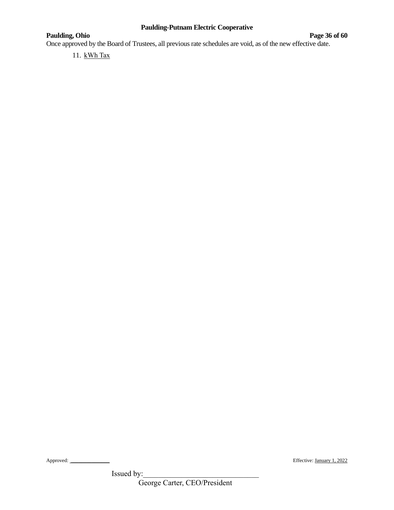# **Paulding, Ohio Page 36** of 60

Once approved by the Board of Trustees, all previous rate schedules are void, as of the new effective date.

11. kWh Tax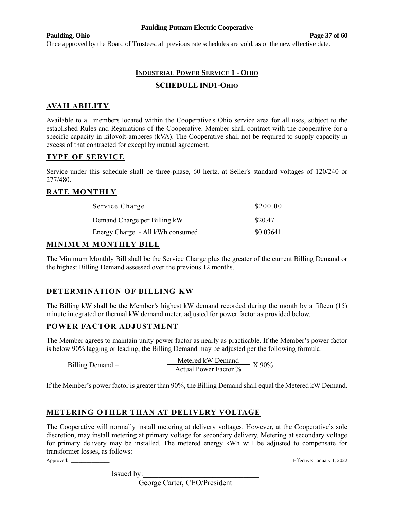#### **Paulding, Ohio Page 37 of 60**

Once approved by the Board of Trustees, all previous rate schedules are void, as of the new effective date.

# **INDUSTRIAL POWER SERVICE 1 - OHIO SCHEDULE IND1-OHIO**

# **AVAILABILITY**

Available to all members located within the Cooperative's Ohio service area for all uses, subject to the established Rules and Regulations of the Cooperative. Member shall contract with the cooperative for a specific capacity in kilovolt-amperes (kVA). The Cooperative shall not be required to supply capacity in excess of that contracted for except by mutual agreement.

# **TYPE OF SERVICE**

Service under this schedule shall be three-phase, 60 hertz, at Seller's standard voltages of 120/240 or 277/480.

# **RATE MONTHLY**

| Service Charge                   | \$200.00  |
|----------------------------------|-----------|
| Demand Charge per Billing kW     | \$20.47   |
| Energy Charge - All kWh consumed | \$0.03641 |

### **MINIMUM MONTHLY BILL**

The Minimum Monthly Bill shall be the Service Charge plus the greater of the current Billing Demand or the highest Billing Demand assessed over the previous 12 months.

# **DETERMINATION OF BILLING KW**

The Billing kW shall be the Member's highest kW demand recorded during the month by a fifteen (15) minute integrated or thermal kW demand meter, adjusted for power factor as provided below.

# **POWER FACTOR ADJUSTMENT**

The Member agrees to maintain unity power factor as nearly as practicable. If the Member's power factor is below 90% lagging or leading, the Billing Demand may be adjusted per the following formula:

Billing Demand =  $\frac{\text{Metered kW Demand}}{\text{Actual Power Factor }\%}$  X 90%

If the Member's power factor is greater than 90%, the Billing Demand shall equal the Metered kW Demand.

# **METERING OTHER THAN AT DELIVERY VOLTAGE**

The Cooperative will normally install metering at delivery voltages. However, at the Cooperative's sole discretion, may install metering at primary voltage for secondary delivery. Metering at secondary voltage for primary delivery may be installed. The metered energy kWh will be adjusted to compensate for transformer losses, as follows:

Approved: \_\_\_\_\_\_\_\_\_\_\_\_\_\_\_ Effective: January 1, 2022

Issued by:

George Carter, CEO/President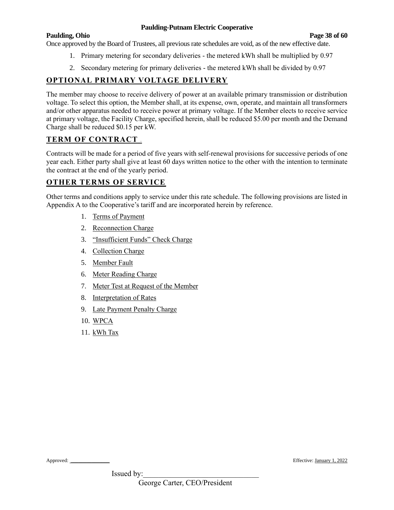#### **Paulding, Ohio Page 38 of 60**

Once approved by the Board of Trustees, all previous rate schedules are void, as of the new effective date.

- 1. Primary metering for secondary deliveries the metered kWh shall be multiplied by 0.97
- 2. Secondary metering for primary deliveries the metered kWh shall be divided by 0.97

# **OPTIONAL PRIMARY VOLTAGE DELIVERY**

The member may choose to receive delivery of power at an available primary transmission or distribution voltage. To select this option, the Member shall, at its expense, own, operate, and maintain all transformers and/or other apparatus needed to receive power at primary voltage. If the Member elects to receive service at primary voltage, the Facility Charge, specified herein, shall be reduced \$5.00 per month and the Demand Charge shall be reduced \$0.15 per kW.

# **TERM OF CONTRACT <sup>1</sup>**

Contracts will be made for a period of five years with self-renewal provisions for successive periods of one year each. Either party shall give at least 60 days written notice to the other with the intention to terminate the contract at the end of the yearly period.

# **OTHER TERMS OF SERVICE**

Other terms and conditions apply to service under this rate schedule. The following provisions are listed in Appendix A to the Cooperative's tariff and are incorporated herein by reference.

- 1. Terms of Payment
- 2. Reconnection Charge
- 3. "Insufficient Funds" Check Charge
- 4. Collection Charge
- 5. Member Fault
- 6. Meter Reading Charge
- 7. Meter Test at Request of the Member
- 8. Interpretation of Rates
- 9. Late Payment Penalty Charge
- 10. WPCA
- 11. kWh Tax

Approved: \_\_\_\_\_\_\_\_\_\_\_\_\_\_\_ Effective: January 1, 2022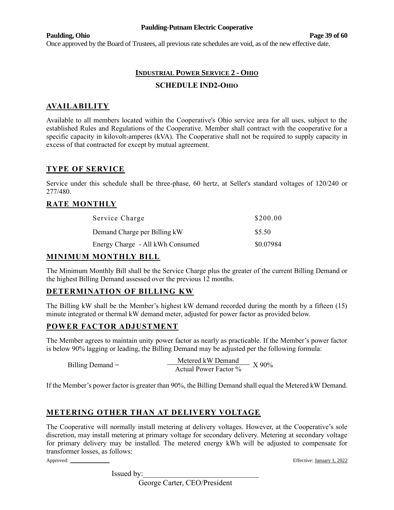#### **Paulding, Ohio Page 39 of 60**

Once approved by the Board of Trustees, all previous rate schedules are void, as of the new effective date.

# **INDUSTRIAL POWER SERVICE 2 - OHIO SCHEDULE IND2-OHIO**

# **AVAILABILITY**

Available to all members located within the Cooperative's Ohio service area for all uses, subject to the established Rules and Regulations of the Cooperative. Member shall contract with the cooperative for a specific capacity in kilovolt-amperes (kVA). The Cooperative shall not be required to supply capacity in excess of that contracted for except by mutual agreement.

# **TYPE OF SERVICE**

Service under this schedule shall be three-phase, 60 hertz, at Seller's standard voltages of 120/240 or 277/480.

# **RATE MONTHLY**

| Service Charge                   | \$200.00  |
|----------------------------------|-----------|
| Demand Charge per Billing kW     | \$5.50    |
| Energy Charge - All kWh Consumed | \$0.07984 |

# **MINIMUM MONTHLY BILL**

The Minimum Monthly Bill shall be the Service Charge plus the greater of the current Billing Demand or the highest Billing Demand assessed over the previous 12 months.

# **DETERMINATION OF BILLING KW**

The Billing kW shall be the Member's highest kW demand recorded during the month by a fifteen (15) minute integrated or thermal kW demand meter, adjusted for power factor as provided below.

### **POWER FACTOR ADJUSTMENT**

The Member agrees to maintain unity power factor as nearly as practicable. If the Member's power factor is below 90% lagging or leading, the Billing Demand may be adjusted per the following formula:

Billing Demand =  $\frac{\text{Metered kW Demand}}{\text{Actual Power Factor }\%}$  X 90%

If the Member's power factor is greater than 90%, the Billing Demand shall equal the Metered kW Demand.

# **METERING OTHER THAN AT DELIVERY VOLTAGE**

The Cooperative will normally install metering at delivery voltages. However, at the Cooperative's sole discretion, may install metering at primary voltage for secondary delivery. Metering at secondary voltage for primary delivery may be installed. The metered energy kWh will be adjusted to compensate for transformer losses, as follows:

Approved: \_\_\_\_\_\_\_\_\_\_\_\_\_\_\_ Effective: January 1, 2022

Issued by:

George Carter, CEO/President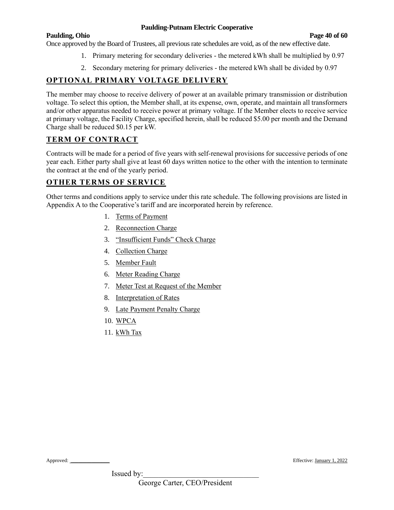#### **Paulding, Ohio Page 40 of 60**

Once approved by the Board of Trustees, all previous rate schedules are void, as of the new effective date.

- 1. Primary metering for secondary deliveries the metered kWh shall be multiplied by 0.97
	- 2. Secondary metering for primary deliveries the metered kWh shall be divided by 0.97

# **OPTIONAL PRIMARY VOLTAGE DELIVERY**

The member may choose to receive delivery of power at an available primary transmission or distribution voltage. To select this option, the Member shall, at its expense, own, operate, and maintain all transformers and/or other apparatus needed to receive power at primary voltage. If the Member elects to receive service at primary voltage, the Facility Charge, specified herein, shall be reduced \$5.00 per month and the Demand Charge shall be reduced \$0.15 per kW.

# **TERM OF CONTRACT**

Contracts will be made for a period of five years with self-renewal provisions for successive periods of one year each. Either party shall give at least 60 days written notice to the other with the intention to terminate the contract at the end of the yearly period.

# **OTHER TERMS OF SERVICE**

Other terms and conditions apply to service under this rate schedule. The following provisions are listed in Appendix A to the Cooperative's tariff and are incorporated herein by reference.

- 1. Terms of Payment
- 2. Reconnection Charge
- 3. "Insufficient Funds" Check Charge
- 4. Collection Charge
- 5. Member Fault
- 6. Meter Reading Charge
- 7. Meter Test at Request of the Member
- 8. Interpretation of Rates
- 9. Late Payment Penalty Charge
- 10. WPCA
- 11. kWh Tax

Approved: \_\_\_\_\_\_\_\_\_\_\_\_\_\_\_ Effective: January 1, 2022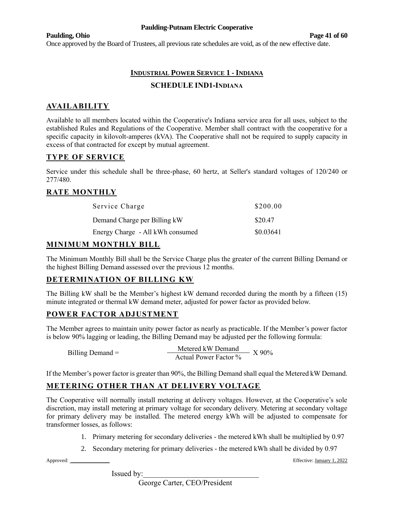#### **Paulding, Ohio Page 41 of 60**

Once approved by the Board of Trustees, all previous rate schedules are void, as of the new effective date.

# **INDUSTRIAL POWER SERVICE 1 - INDIANA SCHEDULE IND1-INDIANA**

# **AVAILABILITY**

Available to all members located within the Cooperative's Indiana service area for all uses, subject to the established Rules and Regulations of the Cooperative. Member shall contract with the cooperative for a specific capacity in kilovolt-amperes (kVA). The Cooperative shall not be required to supply capacity in excess of that contracted for except by mutual agreement.

# **TYPE OF SERVICE**

Service under this schedule shall be three-phase, 60 hertz, at Seller's standard voltages of 120/240 or 277/480.

# **RATE MONTHLY**

| Service Charge                   | \$200.00  |
|----------------------------------|-----------|
| Demand Charge per Billing kW     | \$20.47   |
| Energy Charge - All kWh consumed | \$0.03641 |

# **MINIMUM MONTHLY BILL**

The Minimum Monthly Bill shall be the Service Charge plus the greater of the current Billing Demand or the highest Billing Demand assessed over the previous 12 months.

# **DETERMINATION OF BILLING KW**

The Billing kW shall be the Member's highest kW demand recorded during the month by a fifteen (15) minute integrated or thermal kW demand meter, adjusted for power factor as provided below.

### **POWER FACTOR ADJUSTMENT**

The Member agrees to maintain unity power factor as nearly as practicable. If the Member's power factor is below 90% lagging or leading, the Billing Demand may be adjusted per the following formula:

|                    | Metered kW Demand     |         |
|--------------------|-----------------------|---------|
| Billing Demand $=$ | Actual Power Factor % | $X90\%$ |

If the Member's power factor is greater than 90%, the Billing Demand shall equal the Metered kW Demand.

# **METERING OTHER THAN AT DELIVERY VOLTAGE**

The Cooperative will normally install metering at delivery voltages. However, at the Cooperative's sole discretion, may install metering at primary voltage for secondary delivery. Metering at secondary voltage for primary delivery may be installed. The metered energy kWh will be adjusted to compensate for transformer losses, as follows:

- 1. Primary metering for secondary deliveries the metered kWh shall be multiplied by 0.97
- 2. Secondary metering for primary deliveries the metered kWh shall be divided by 0.97

Approved: \_\_\_\_\_\_\_\_\_\_\_\_\_\_\_ Effective: January 1, 2022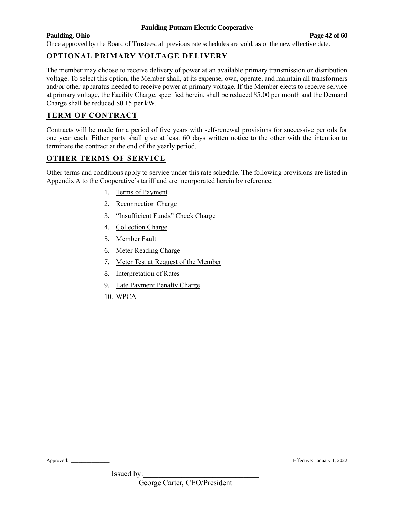#### **Paulding, Ohio Page 42 of 60**

Once approved by the Board of Trustees, all previous rate schedules are void, as of the new effective date.

# **OPTIONAL PRIMARY VOLTAGE DELIVERY**

The member may choose to receive delivery of power at an available primary transmission or distribution voltage. To select this option, the Member shall, at its expense, own, operate, and maintain all transformers and/or other apparatus needed to receive power at primary voltage. If the Member elects to receive service at primary voltage, the Facility Charge, specified herein, shall be reduced \$5.00 per month and the Demand Charge shall be reduced \$0.15 per kW.

# **TERM OF CONTRACT**

Contracts will be made for a period of five years with self-renewal provisions for successive periods for one year each. Either party shall give at least 60 days written notice to the other with the intention to terminate the contract at the end of the yearly period.

# **OTHER TERMS OF SERVICE**

Other terms and conditions apply to service under this rate schedule. The following provisions are listed in Appendix A to the Cooperative's tariff and are incorporated herein by reference.

- 1. Terms of Payment
- 2. Reconnection Charge
- 3. "Insufficient Funds" Check Charge
- 4. Collection Charge
- 5. Member Fault
- 6. Meter Reading Charge
- 7. Meter Test at Request of the Member
- 8. Interpretation of Rates
- 9. Late Payment Penalty Charge
- 10. WPCA

Approved: \_\_\_\_\_\_\_\_\_\_\_\_\_\_\_ Effective: January 1, 2022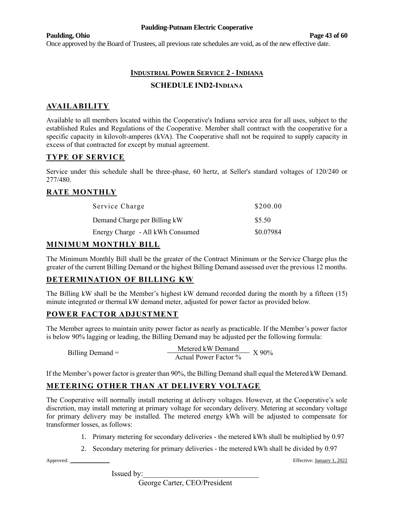#### **Paulding, Ohio Page 43 of 60**

Once approved by the Board of Trustees, all previous rate schedules are void, as of the new effective date.

# **INDUSTRIAL POWER SERVICE 2 - INDIANA SCHEDULE IND2-INDIANA**

# **AVAILABILITY**

Available to all members located within the Cooperative's Indiana service area for all uses, subject to the established Rules and Regulations of the Cooperative. Member shall contract with the cooperative for a specific capacity in kilovolt-amperes (kVA). The Cooperative shall not be required to supply capacity in excess of that contracted for except by mutual agreement.

# **TYPE OF SERVICE**

Service under this schedule shall be three-phase, 60 hertz, at Seller's standard voltages of 120/240 or 277/480.

# **RATE MONTHLY**

| Service Charge                   | \$200.00  |
|----------------------------------|-----------|
| Demand Charge per Billing kW     | \$5.50    |
| Energy Charge - All kWh Consumed | \$0.07984 |

# **MINIMUM MONTHLY BILL**

The Minimum Monthly Bill shall be the greater of the Contract Minimum or the Service Charge plus the greater of the current Billing Demand or the highest Billing Demand assessed over the previous 12 months.

# **DETERMINATION OF BILLING KW**

The Billing kW shall be the Member's highest kW demand recorded during the month by a fifteen (15) minute integrated or thermal kW demand meter, adjusted for power factor as provided below.

### **POWER FACTOR ADJUSTMENT**

The Member agrees to maintain unity power factor as nearly as practicable. If the Member's power factor is below 90% lagging or leading, the Billing Demand may be adjusted per the following formula:

|                    | Metered kW Demand     |         |
|--------------------|-----------------------|---------|
| Billing Demand $=$ | Actual Power Factor % | $X90\%$ |

If the Member's power factor is greater than 90%, the Billing Demand shall equal the Metered kW Demand.

# **METERING OTHER THAN AT DELIVERY VOLTAGE**

The Cooperative will normally install metering at delivery voltages. However, at the Cooperative's sole discretion, may install metering at primary voltage for secondary delivery. Metering at secondary voltage for primary delivery may be installed. The metered energy kWh will be adjusted to compensate for transformer losses, as follows:

- 1. Primary metering for secondary deliveries the metered kWh shall be multiplied by 0.97
- 2. Secondary metering for primary deliveries the metered kWh shall be divided by 0.97

Approved: \_\_\_\_\_\_\_\_\_\_\_\_\_\_\_ Effective: January 1, 2022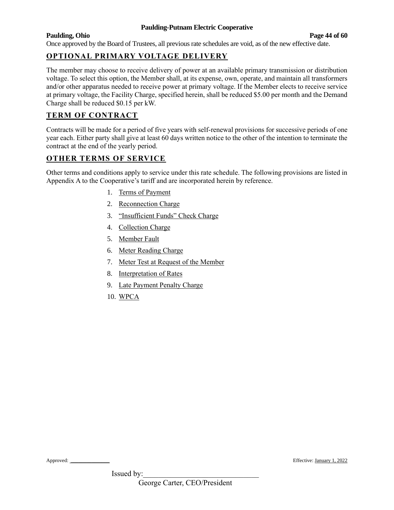#### **Paulding, Ohio Page 44 of 60**

Once approved by the Board of Trustees, all previous rate schedules are void, as of the new effective date.

# **OPTIONAL PRIMARY VOLTAGE DELIVERY**

The member may choose to receive delivery of power at an available primary transmission or distribution voltage. To select this option, the Member shall, at its expense, own, operate, and maintain all transformers and/or other apparatus needed to receive power at primary voltage. If the Member elects to receive service at primary voltage, the Facility Charge, specified herein, shall be reduced \$5.00 per month and the Demand Charge shall be reduced \$0.15 per kW.

# **TERM OF CONTRACT**

Contracts will be made for a period of five years with self-renewal provisions for successive periods of one year each. Either party shall give at least 60 days written notice to the other of the intention to terminate the contract at the end of the yearly period.

# **OTHER TERMS OF SERVICE**

Other terms and conditions apply to service under this rate schedule. The following provisions are listed in Appendix A to the Cooperative's tariff and are incorporated herein by reference.

- 1. Terms of Payment
- 2. Reconnection Charge
- 3. "Insufficient Funds" Check Charge
- 4. Collection Charge
- 5. Member Fault
- 6. Meter Reading Charge
- 7. Meter Test at Request of the Member
- 8. Interpretation of Rates
- 9. Late Payment Penalty Charge
- 10. WPCA

Approved: \_\_\_\_\_\_\_\_\_\_\_\_\_\_\_ Effective: January 1, 2022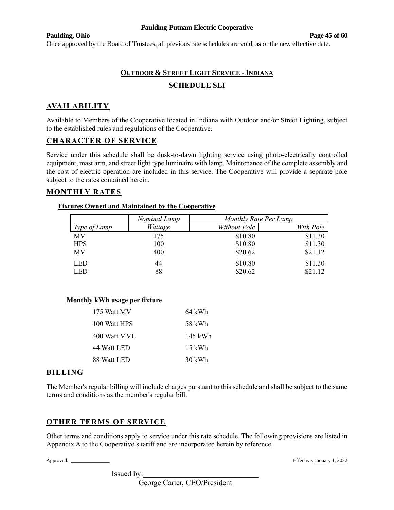#### **Paulding, Ohio Page 45 of 60**

Once approved by the Board of Trustees, all previous rate schedules are void, as of the new effective date.

# **OUTDOOR & STREET LIGHT SERVICE - INDIANA SCHEDULE SLI**

# **AVAILABILITY**

Available to Members of the Cooperative located in Indiana with Outdoor and/or Street Lighting, subject to the established rules and regulations of the Cooperative.

# **CHARACTER OF SERVICE**

Service under this schedule shall be dusk-to-dawn lighting service using photo-electrically controlled equipment, mast arm, and street light type luminaire with lamp. Maintenance of the complete assembly and the cost of electric operation are included in this service. The Cooperative will provide a separate pole subject to the rates contained herein.

### **MONTHLY RATES**

#### **Fixtures Owned and Maintained by the Cooperative**

|              | Nominal Lamp | Monthly Rate Per Lamp |           |
|--------------|--------------|-----------------------|-----------|
| Type of Lamp | Wattage      | Without Pole          | With Pole |
| MV           | 175          | \$10.80               | \$11.30   |
| <b>HPS</b>   | 100          | \$10.80               | \$11.30   |
| <b>MV</b>    | 400          | \$20.62               | \$21.12   |
| <b>LED</b>   | 44           | \$10.80               | \$11.30   |
| LED          | 88           | \$20.62               | \$21.12   |

#### **Monthly kWh usage per fixture**

| 175 Watt MV  | 64 kWh   |
|--------------|----------|
| 100 Watt HPS | 58 kWh   |
| 400 Watt MVL | 145 kWh  |
| 44 Watt LED  | $15$ kWh |
| 88 Watt LED  | 30 kWh   |
|              |          |

#### **BILLING**

The Member's regular billing will include charges pursuant to this schedule and shall be subject to the same terms and conditions as the member's regular bill.

# **OTHER TERMS OF SERVICE**

Other terms and conditions apply to service under this rate schedule. The following provisions are listed in Appendix A to the Cooperative's tariff and are incorporated herein by reference.

Approved: \_\_\_\_\_\_\_\_\_\_\_\_\_\_\_ Effective: January 1, 2022

Issued by:

George Carter, CEO/President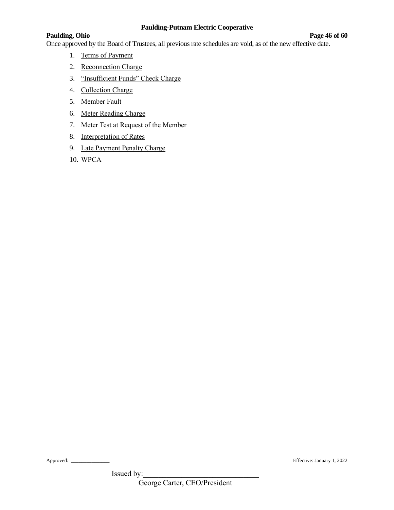#### **Paulding, Ohio Page 46 of 60**

Once approved by the Board of Trustees, all previous rate schedules are void, as of the new effective date.

- 1. Terms of Payment
- 2. Reconnection Charge
- 3. "Insufficient Funds" Check Charge
- 4. Collection Charge
- 5. Member Fault
- 6. Meter Reading Charge
- 7. Meter Test at Request of the Member
- 8. Interpretation of Rates
- 9. Late Payment Penalty Charge
- 10. WPCA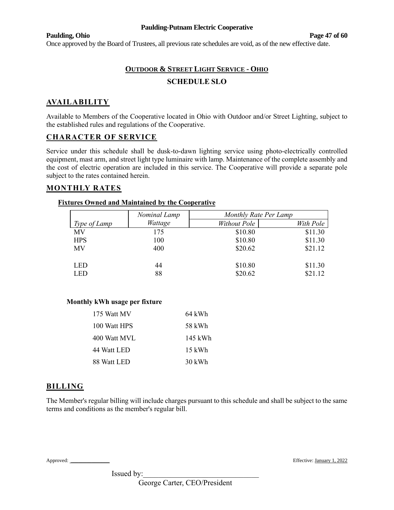#### **Paulding, Ohio Page 47 of 60**

Once approved by the Board of Trustees, all previous rate schedules are void, as of the new effective date.

# **OUTDOOR & STREET LIGHT SERVICE - OHIO SCHEDULE SLO**

# **AVAILABILITY**

Available to Members of the Cooperative located in Ohio with Outdoor and/or Street Lighting, subject to the established rules and regulations of the Cooperative.

### **CHARACTER OF SERVICE**

Service under this schedule shall be dusk-to-dawn lighting service using photo-electrically controlled equipment, mast arm, and street light type luminaire with lamp. Maintenance of the complete assembly and the cost of electric operation are included in this service. The Cooperative will provide a separate pole subject to the rates contained herein.

### **MONTHLY RATES**

# **Fixtures Owned and Maintained by the Cooperative**

|              | Nominal Lamp | Monthly Rate Per Lamp |           |
|--------------|--------------|-----------------------|-----------|
| Type of Lamp | Wattage      | Without Pole          | With Pole |
| <b>MV</b>    | 175          | \$10.80               | \$11.30   |
| <b>HPS</b>   | 100          | \$10.80               | \$11.30   |
| <b>MV</b>    | 400          | \$20.62               | \$21.12   |
|              |              |                       |           |
| <b>LED</b>   | 44           | \$10.80               | \$11.30   |
| LED          | 88           | \$20.62               | \$21.12   |

#### **Monthly kWh usage per fixture**

| 175 Watt MV  | 64 kWh   |
|--------------|----------|
| 100 Watt HPS | 58 kWh   |
| 400 Watt MVL | 145 kWh  |
| 44 Watt LED  | $15$ kWh |
| 88 Watt LED  | 30 kWh   |

### **BILLING**

The Member's regular billing will include charges pursuant to this schedule and shall be subject to the same terms and conditions as the member's regular bill.

Approved: \_\_\_\_\_\_\_\_\_\_\_\_\_\_\_ Effective: January 1, 2022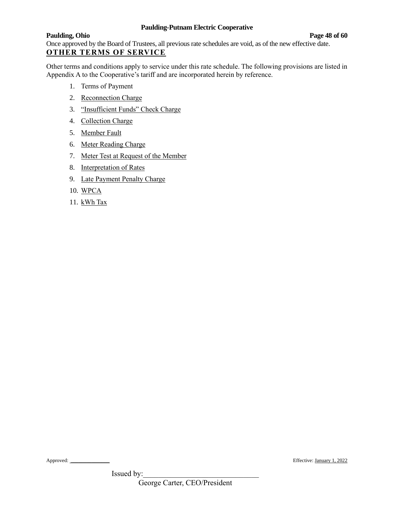**Paulding, Ohio Page 48 of 60** Once approved by the Board of Trustees, all previous rate schedules are void, as of the new effective date. **OTHER TERMS OF SERVICE**

Other terms and conditions apply to service under this rate schedule. The following provisions are listed in Appendix A to the Cooperative's tariff and are incorporated herein by reference.

- 1. Terms of Payment
- 2. Reconnection Charge
- 3. "Insufficient Funds" Check Charge
- 4. Collection Charge
- 5. Member Fault
- 6. Meter Reading Charge
- 7. Meter Test at Request of the Member
- 8. Interpretation of Rates
- 9. Late Payment Penalty Charge
- 10. WPCA
- 11. kWh Tax

Approved: \_\_\_\_\_\_\_\_\_\_\_\_\_\_\_ Effective: January 1, 2022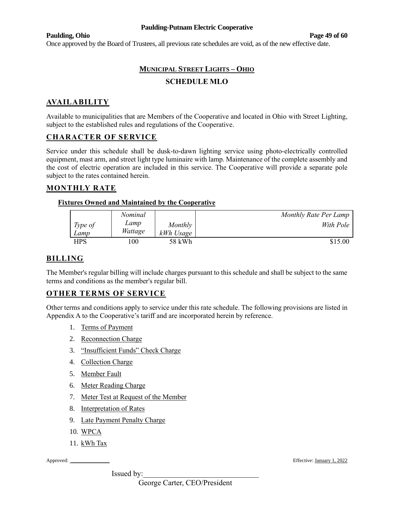#### **Paulding, Ohio Page 49 of 60**

Once approved by the Board of Trustees, all previous rate schedules are void, as of the new effective date.

# **MUNICIPAL STREET LIGHTS – OHIO SCHEDULE MLO**

# **AVAILABILITY**

Available to municipalities that are Members of the Cooperative and located in Ohio with Street Lighting, subject to the established rules and regulations of the Cooperative.

### **CHARACTER OF SERVICE**

Service under this schedule shall be dusk-to-dawn lighting service using photo-electrically controlled equipment, mast arm, and street light type luminaire with lamp. Maintenance of the complete assembly and the cost of electric operation are included in this service. The Cooperative will provide a separate pole subject to the rates contained herein.

### **MONTHLY RATE**

#### **Fixtures Owned and Maintained by the Cooperative**

|                 | Nominal         |                      | Monthly Rate Per Lamp |
|-----------------|-----------------|----------------------|-----------------------|
| Type of<br>Lamp | Lamp<br>Wattage | Monthly<br>kWh Usage | With Pole             |
| HPS             | 00              | 58 kWh               | \$15.00               |

# **BILLING**

The Member's regular billing will include charges pursuant to this schedule and shall be subject to the same terms and conditions as the member's regular bill.

### **OTHER TERMS OF SERVICE**

Other terms and conditions apply to service under this rate schedule. The following provisions are listed in Appendix A to the Cooperative's tariff and are incorporated herein by reference.

- 1. Terms of Payment
- 2. Reconnection Charge
- 3. "Insufficient Funds" Check Charge
- 4. Collection Charge
- 5. Member Fault
- 6. Meter Reading Charge
- 7. Meter Test at Request of the Member
- 8. Interpretation of Rates
- 9. Late Payment Penalty Charge
- 10. WPCA
- 11. kWh Tax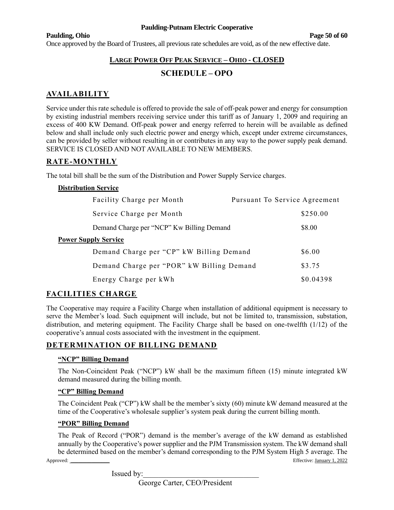#### **Paulding, Ohio Page 50 of 60**

Once approved by the Board of Trustees, all previous rate schedules are void, as of the new effective date.

# **LARGE POWER OFF PEAK SERVICE – OHIO - CLOSED**

# **SCHEDULE – OPO**

# **AVAILABILITY**

Service under this rate schedule is offered to provide the sale of off-peak power and energy for consumption by existing industrial members receiving service under this tariff as of January 1, 2009 and requiring an excess of 400 KW Demand. Off-peak power and energy referred to herein will be available as defined below and shall include only such electric power and energy which, except under extreme circumstances, can be provided by seller without resulting in or contributes in any way to the power supply peak demand. SERVICE IS CLOSED AND NOT AVAILABLE TO NEW MEMBERS.

# **RATE-MONTHLY**

The total bill shall be the sum of the Distribution and Power Supply Service charges.

#### **Distribution Service**

| Facility Charge per Month                 | Pursuant To Service Agreement |           |
|-------------------------------------------|-------------------------------|-----------|
| Service Charge per Month                  |                               | \$250.00  |
| Demand Charge per "NCP" Kw Billing Demand |                               | \$8.00    |
| <b>Power Supply Service</b>               |                               |           |
| Demand Charge per "CP" kW Billing Demand  |                               | \$6.00    |
| Demand Charge per "POR" kW Billing Demand |                               | \$3.75    |
| Energy Charge per kWh                     |                               | \$0.04398 |

### **FACILITIES CHARGE**

The Cooperative may require a Facility Charge when installation of additional equipment is necessary to serve the Member's load. Such equipment will include, but not be limited to, transmission, substation, distribution, and metering equipment. The Facility Charge shall be based on one-twelfth (1/12) of the cooperative's annual costs associated with the investment in the equipment.

### **DETERMINATION OF BILLING DEMAND**

#### **"NCP" Billing Demand**

The Non-Coincident Peak ("NCP") kW shall be the maximum fifteen (15) minute integrated kW demand measured during the billing month.

#### **"CP" Billing Demand**

The Coincident Peak ("CP") kW shall be the member's sixty (60) minute kW demand measured at the time of the Cooperative's wholesale supplier's system peak during the current billing month.

#### **"POR" Billing Demand**

Approved: \_\_\_\_\_\_\_\_\_\_\_\_\_\_\_ Effective: January 1, 2022 The Peak of Record ("POR") demand is the member's average of the kW demand as established annually by the Cooperative's power supplier and the PJM Transmission system. The kW demand shall be determined based on the member's demand corresponding to the PJM System High 5 average. The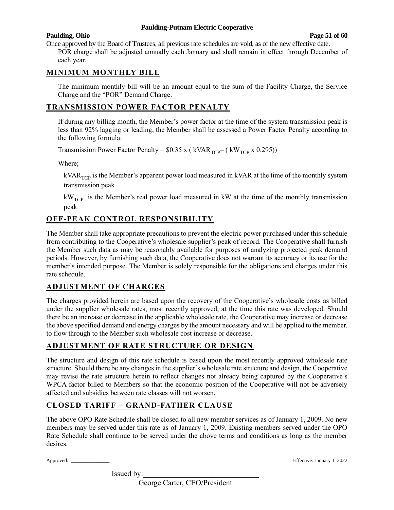#### **Paulding, Ohio Page 51 of 60**

Once approved by the Board of Trustees, all previous rate schedules are void, as of the new effective date. POR charge shall be adjusted annually each January and shall remain in effect through December of each year.

# **MINIMUM MONTHLY BILL**

The minimum monthly bill will be an amount equal to the sum of the Facility Charge, the Service Charge and the "POR" Demand Charge.

# **TRANSMISSION POWER FACTOR PENALTY**

If during any billing month, the Member's power factor at the time of the system transmission peak is less than 92% lagging or leading, the Member shall be assessed a Power Factor Penalty according to the following formula:

Transmission Power Factor Penalty =  $$0.35 \times (kVAR_{TCP} - (kW_{TCP} \times 0.295))$ 

Where;

 $kVAR<sub>TCP</sub>$  is the Member's apparent power load measured in kVAR at the time of the monthly system transmission peak

 $kW<sub>TCP</sub>$  is the Member's real power load measured in kW at the time of the monthly transmission peak

# **OFF-PEAK CONTROL RESPONSIBILITY**

The Member shall take appropriate precautions to prevent the electric power purchased under this schedule from contributing to the Cooperative's wholesale supplier's peak of record. The Cooperative shall furnish the Member such data as may be reasonably available for purposes of analyzing projected peak demand periods. However, by furnishing such data, the Cooperative does not warrant its accuracy or its use for the member's intended purpose. The Member is solely responsible for the obligations and charges under this rate schedule.

# **ADJUSTMENT OF CHARGES**

The charges provided herein are based upon the recovery of the Cooperative's wholesale costs as billed under the supplier wholesale rates, most recently approved, at the time this rate was developed. Should there be an increase or decrease in the applicable wholesale rate, the Cooperative may increase or decrease the above specified demand and energy charges by the amount necessary and will be applied to the member. to flow through to the Member such wholesale cost increase or decrease.

# **ADJUSTMENT OF RATE STRUCTURE OR DESIGN**

The structure and design of this rate schedule is based upon the most recently approved wholesale rate structure. Should there be any changes in the supplier's wholesale rate structure and design, the Cooperative may revise the rate structure herein to reflect changes not already being captured by the Cooperative's WPCA factor billed to Members so that the economic position of the Cooperative will not be adversely affected and subsidies between rate classes will not worsen.

# **CLOSED TARIFF – GRAND-FATHER CLAUSE**

The above OPO Rate Schedule shall be closed to all new member services as of January 1, 2009. No new members may be served under this rate as of January 1, 2009. Existing members served under the OPO Rate Schedule shall continue to be served under the above terms and conditions as long as the member desires.

Approved: \_\_\_\_\_\_\_\_\_\_\_\_\_\_\_ Effective: January 1, 2022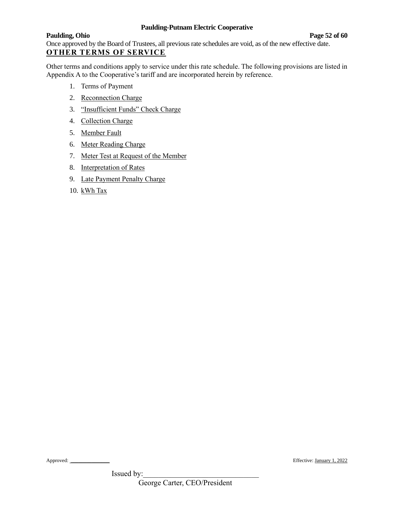**Paulding, Ohio Page 52 of 60** Once approved by the Board of Trustees, all previous rate schedules are void, as of the new effective date. **OTHER TERMS OF SERVICE**

Other terms and conditions apply to service under this rate schedule. The following provisions are listed in Appendix A to the Cooperative's tariff and are incorporated herein by reference.

- 1. Terms of Payment
- 2. Reconnection Charge
- 3. "Insufficient Funds" Check Charge
- 4. Collection Charge
- 5. Member Fault
- 6. Meter Reading Charge
- 7. Meter Test at Request of the Member
- 8. Interpretation of Rates
- 9. Late Payment Penalty Charge
- 10. kWh Tax

Approved: \_\_\_\_\_\_\_\_\_\_\_\_\_\_\_ Effective: January 1, 2022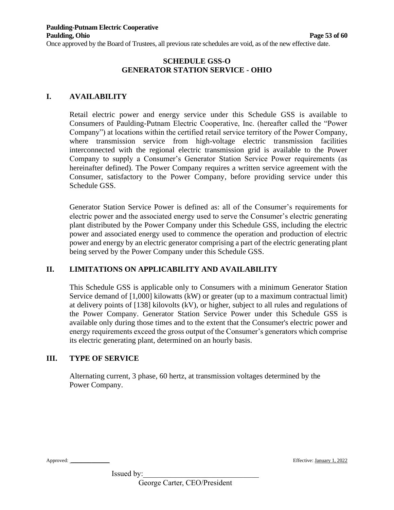Once approved by the Board of Trustees, all previous rate schedules are void, as of the new effective date.

#### **SCHEDULE GSS-O GENERATOR STATION SERVICE - OHIO**

### **I. AVAILABILITY**

Retail electric power and energy service under this Schedule GSS is available to Consumers of Paulding-Putnam Electric Cooperative, Inc. (hereafter called the "Power Company") at locations within the certified retail service territory of the Power Company, where transmission service from high-voltage electric transmission facilities interconnected with the regional electric transmission grid is available to the Power Company to supply a Consumer's Generator Station Service Power requirements (as hereinafter defined). The Power Company requires a written service agreement with the Consumer, satisfactory to the Power Company, before providing service under this Schedule GSS.

Generator Station Service Power is defined as: all of the Consumer's requirements for electric power and the associated energy used to serve the Consumer's electric generating plant distributed by the Power Company under this Schedule GSS, including the electric power and associated energy used to commence the operation and production of electric power and energy by an electric generator comprising a part of the electric generating plant being served by the Power Company under this Schedule GSS.

### **II. LIMITATIONS ON APPLICABILITY AND AVAILABILITY**

This Schedule GSS is applicable only to Consumers with a minimum Generator Station Service demand of [1,000] kilowatts (kW) or greater (up to a maximum contractual limit) at delivery points of [138] kilovolts (kV), or higher, subject to all rules and regulations of the Power Company. Generator Station Service Power under this Schedule GSS is available only during those times and to the extent that the Consumer's electric power and energy requirements exceed the gross output of the Consumer's generators which comprise its electric generating plant, determined on an hourly basis.

## **III. TYPE OF SERVICE**

Alternating current, 3 phase, 60 hertz, at transmission voltages determined by the Power Company.

Approved: \_\_\_\_\_\_\_\_\_\_\_\_\_\_\_ Effective: January 1, 2022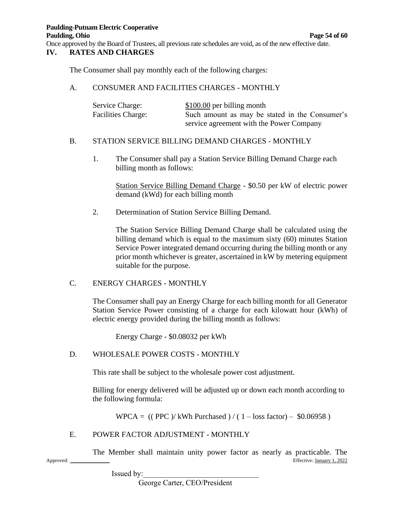Once approved by the Board of Trustees, all previous rate schedules are void, as of the new effective date.

#### **IV. RATES AND CHARGES**

The Consumer shall pay monthly each of the following charges:

#### A. CONSUMER AND FACILITIES CHARGES - MONTHLY

| Service Charge:           | $$100.00$ per billing month                    |
|---------------------------|------------------------------------------------|
| <b>Facilities Charge:</b> | Such amount as may be stated in the Consumer's |
|                           | service agreement with the Power Company       |

#### B. STATION SERVICE BILLING DEMAND CHARGES - MONTHLY

1. The Consumer shall pay a Station Service Billing Demand Charge each billing month as follows:

Station Service Billing Demand Charge - \$0.50 per kW of electric power demand (kWd) for each billing month

2. Determination of Station Service Billing Demand.

The Station Service Billing Demand Charge shall be calculated using the billing demand which is equal to the maximum sixty (60) minutes Station Service Power integrated demand occurring during the billing month or any prior month whichever is greater, ascertained in kW by metering equipment suitable for the purpose.

### C. ENERGY CHARGES - MONTHLY

The Consumer shall pay an Energy Charge for each billing month for all Generator Station Service Power consisting of a charge for each kilowatt hour (kWh) of electric energy provided during the billing month as follows:

Energy Charge - \$0.08032 per kWh

### D. WHOLESALE POWER COSTS - MONTHLY

This rate shall be subject to the wholesale power cost adjustment.

Billing for energy delivered will be adjusted up or down each month according to the following formula:

WPCA =  $(($  PPC $)$ / kWh Purchased $)/ (1 -$ loss factor $) -$ \$0.06958 $)$ 

### E. POWER FACTOR ADJUSTMENT - MONTHLY

Approved: \_\_\_\_\_\_\_\_\_\_\_\_\_\_\_ Effective: January 1, 2022 The Member shall maintain unity power factor as nearly as practicable. The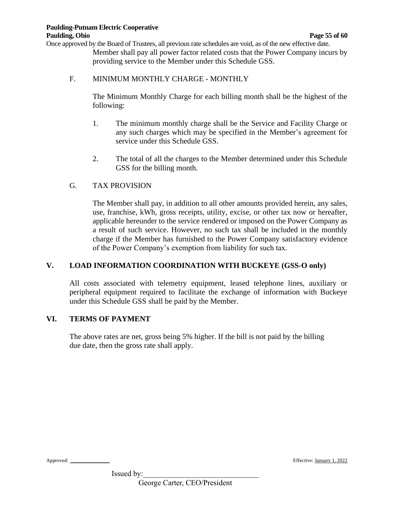Once approved by the Board of Trustees, all previous rate schedules are void, as of the new effective date. Member shall pay all power factor related costs that the Power Company incurs by providing service to the Member under this Schedule GSS.

#### F. MINIMUM MONTHLY CHARGE - MONTHLY

The Minimum Monthly Charge for each billing month shall be the highest of the following:

- 1. The minimum monthly charge shall be the Service and Facility Charge or any such charges which may be specified in the Member's agreement for service under this Schedule GSS.
- 2. The total of all the charges to the Member determined under this Schedule GSS for the billing month.

### G. TAX PROVISION

The Member shall pay, in addition to all other amounts provided herein, any sales, use, franchise, kWh, gross receipts, utility, excise, or other tax now or hereafter, applicable hereunder to the service rendered or imposed on the Power Company as a result of such service. However, no such tax shall be included in the monthly charge if the Member has furnished to the Power Company satisfactory evidence of the Power Company's exemption from liability for such tax.

### **V. LOAD INFORMATION COORDINATION WITH BUCKEYE (GSS-O only)**

All costs associated with telemetry equipment, leased telephone lines, auxiliary or peripheral equipment required to facilitate the exchange of information with Buckeye under this Schedule GSS shall be paid by the Member.

#### **VI. TERMS OF PAYMENT**

The above rates are net, gross being 5% higher. If the bill is not paid by the billing due date, then the gross rate shall apply.

Approved: \_\_\_\_\_\_\_\_\_\_\_\_\_\_\_ Effective: January 1, 2022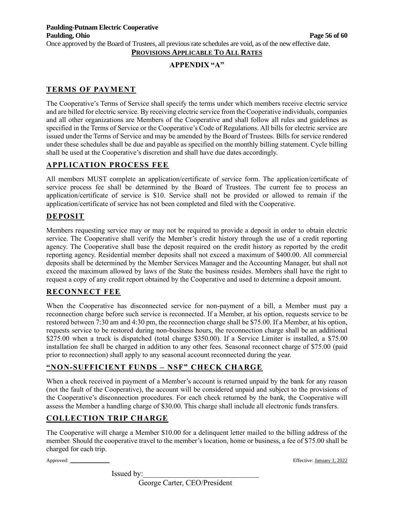Once approved by the Board of Trustees, all previous rate schedules are void, as of the new effective date.

# **PROVISIONS APPLICABLE TO ALL RATES**

# **APPENDIX "A"**

# **TERMS OF PAYMENT**

The Cooperative's Terms of Service shall specify the terms under which members receive electric service and are billed for electric service. By receiving electric service from the Cooperative individuals, companies and all other organizations are Members of the Cooperative and shall follow all rules and guidelines as specified in the Terms of Service or the Cooperative's Code of Regulations. All bills for electric service are issued under the Terms of Service and may be amended by the Board of Trustees. Bills for service rendered under these schedules shall be due and payable as specified on the monthly billing statement. Cycle billing shall be used at the Cooperative's discretion and shall have due dates accordingly.

# **APPLICATION PROCESS FEE**

All members MUST complete an application/certificate of service form. The application/certificate of service process fee shall be determined by the Board of Trustees. The current fee to process an application/certificate of service is \$10. Service shall not be provided or allowed to remain if the application/certificate of service has not been completed and filed with the Cooperative.

### **DEPOSIT**

Members requesting service may or may not be required to provide a deposit in order to obtain electric service. The Cooperative shall verify the Member's credit history through the use of a credit reporting agency. The Cooperative shall base the deposit required on the credit history as reported by the credit reporting agency. Residential member deposits shall not exceed a maximum of \$400.00. All commercial deposits shall be determined by the Member Services Manager and the Accounting Manager, but shall not exceed the maximum allowed by laws of the State the business resides. Members shall have the right to request a copy of any credit report obtained by the Cooperative and used to determine a deposit amount.

### **RECONNECT FEE**

When the Cooperative has disconnected service for non-payment of a bill, a Member must pay a reconnection charge before such service is reconnected. If a Member, at his option, requests service to be restored between 7:30 am and 4:30 pm, the reconnection charge shall be \$75.00. If a Member, at his option, requests service to be restored during non-business hours, the reconnection charge shall be an additional \$275.00 when a truck is dispatched (total charge \$350.00). If a Service Limiter is installed, a \$75.00 installation fee shall be charged in addition to any other fees. Seasonal reconnect charge of \$75.00 (paid prior to reconnection) shall apply to any seasonal account reconnected during the year.

### **"NON-SUFFICIENT FUNDS – NSF" CHECK CHARGE**

When a check received in payment of a Member's account is returned unpaid by the bank for any reason (not the fault of the Cooperative), the account will be considered unpaid and subject to the provisions of the Cooperative's disconnection procedures. For each check returned by the bank, the Cooperative will assess the Member a handling charge of \$30.00. This charge shall include all electronic funds transfers.

# **COLLECTION TRIP CHARGE**

The Cooperative will charge a Member \$10.00 for a delinquent letter mailed to the billing address of the member. Should the cooperative travel to the member's location, home or business, a fee of \$75.00 shall be charged for each trip.

Approved: \_\_\_\_\_\_\_\_\_\_\_\_\_\_\_ Effective: January 1, 2022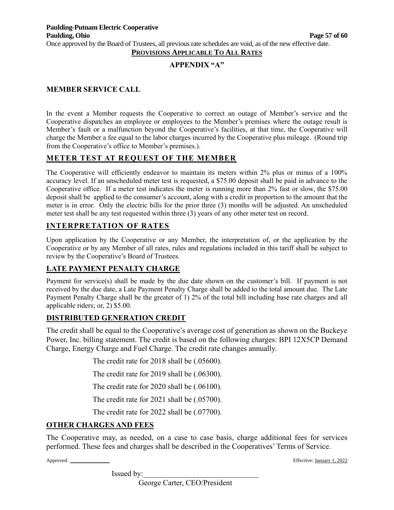**PROVISIONS APPLICABLE TO ALL RATES**

## **APPENDIX "A"**

#### **MEMBER SERVICE CALL**

In the event a Member requests the Cooperative to correct an outage of Member's service and the Cooperative dispatches an employee or employees to the Member's premises where the outage result is Member's fault or a malfunction beyond the Cooperative's facilities, at that time, the Cooperative will charge the Member a fee equal to the labor charges incurred by the Cooperative plus mileage. (Round trip from the Cooperative's office to Member's premises.).

# **METER TEST AT REQUEST OF THE MEMBER**

The Cooperative will efficiently endeavor to maintain its meters within 2% plus or minus of a 100% accuracy level. If an unscheduled meter test is requested, a \$75.00 deposit shall be paid in advance to the Cooperative office. If a meter test indicates the meter is running more than 2% fast or slow, the \$75.00 deposit shall be applied to the consumer's account, along with a credit in proportion to the amount that the meter is in error. Only the electric bills for the prior three (3) months will be adjusted. An unscheduled meter test shall be any test requested within three (3) years of any other meter test on record.

### **INTERPRETATION OF RATES**

Upon application by the Cooperative or any Member, the interpretation of, or the application by the Cooperative or by any Member of all rates, rules and regulations included in this tariff shall be subject to review by the Cooperative's Board of Trustees.

### **LATE PAYMENT PENALTY CHARGE**

Payment for service(s) shall be made by the due date shown on the customer's bill. If payment is not received by the due date, a Late Payment Penalty Charge shall be added to the total amount due. The Late Payment Penalty Charge shall be the greater of 1) 2% of the total bill including base rate charges and all applicable riders; or, 2) \$5.00.

### **DISTRIBUTED GENERATION CREDIT**

The credit shall be equal to the Cooperative's average cost of generation as shown on the Buckeye Power, Inc. billing statement. The credit is based on the following charges: BPI 12X5CP Demand Charge, Energy Charge and Fuel Charge. The credit rate changes annually.

The credit rate for 2018 shall be (.05600).

The credit rate for 2019 shall be (.06300).

The credit rate for 2020 shall be (.06100).

The credit rate for 2021 shall be (.05700).

The credit rate for 2022 shall be (.07700).

### **OTHER CHARGES AND FEES**

The Cooperative may, as needed, on a case to case basis, charge additional fees for services performed. These fees and charges shall be described in the Cooperatives' Terms of Service.

Issued by:

Approved: \_\_\_\_\_\_\_\_\_\_\_\_\_\_\_ Effective: January 1, 2022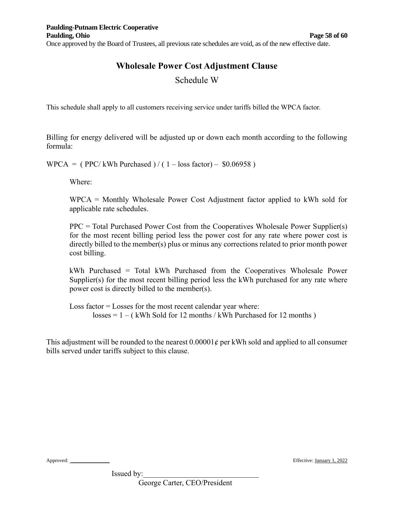# **Wholesale Power Cost Adjustment Clause**

# Schedule W

This schedule shall apply to all customers receiving service under tariffs billed the WPCA factor.

Billing for energy delivered will be adjusted up or down each month according to the following formula:

 $WPCA = (PPC/kWh Purchased) / (1 - loss factor) - $0.06958)$ 

Where:

WPCA = Monthly Wholesale Power Cost Adjustment factor applied to kWh sold for applicable rate schedules.

PPC = Total Purchased Power Cost from the Cooperatives Wholesale Power Supplier(s) for the most recent billing period less the power cost for any rate where power cost is directly billed to the member(s) plus or minus any corrections related to prior month power cost billing.

kWh Purchased = Total kWh Purchased from the Cooperatives Wholesale Power Supplier(s) for the most recent billing period less the kWh purchased for any rate where power cost is directly billed to the member(s).

Loss factor = Losses for the most recent calendar year where:  $losses = 1 - (kWh Sold for 12 months / kWh Purchased for 12 months)$ 

This adjustment will be rounded to the nearest  $0.00001\phi$  per kWh sold and applied to all consumer bills served under tariffs subject to this clause.

Approved: \_\_\_\_\_\_\_\_\_\_\_\_\_\_\_ Effective: January 1, 2022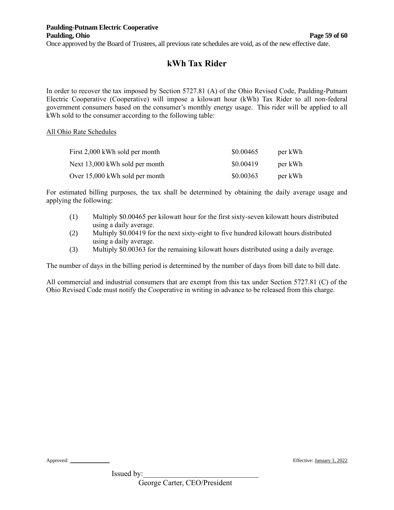# **kWh Tax Rider**

In order to recover the tax imposed by Section 5727.81 (A) of the Ohio Revised Code, Paulding-Putnam Electric Cooperative (Cooperative) will impose a kilowatt hour (kWh) Tax Rider to all non-federal government consumers based on the consumer's monthly energy usage. This rider will be applied to all kWh sold to the consumer according to the following table:

#### All Ohio Rate Schedules

| First 2,000 kWh sold per month | \$0.00465 | per kWh |
|--------------------------------|-----------|---------|
| Next 13,000 kWh sold per month | \$0.00419 | per kWh |
| Over 15,000 kWh sold per month | \$0.00363 | per kWh |

For estimated billing purposes, the tax shall be determined by obtaining the daily average usage and applying the following:

- (1) Multiply \$0.00465 per kilowatt hour for the first sixty-seven kilowatt hours distributed using a daily average.
- (2) Multiply \$0.00419 for the next sixty-eight to five hundred kilowatt hours distributed using a daily average.
- (3) Multiply \$0.00363 for the remaining kilowatt hours distributed using a daily average.

The number of days in the billing period is determined by the number of days from bill date to bill date.

All commercial and industrial consumers that are exempt from this tax under Section 5727.81 (C) of the Ohio Revised Code must notify the Cooperative in writing in advance to be released from this charge.